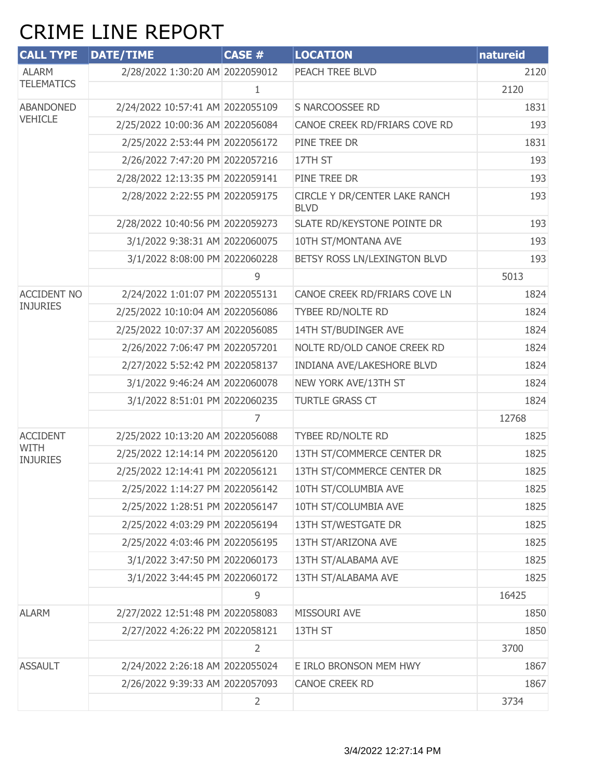## CRIME LINE REPORT

| <b>CALL TYPE</b>               | <b>DATE/TIME</b>                 | <b>CASE #</b> | <b>LOCATION</b>                              | natureid |
|--------------------------------|----------------------------------|---------------|----------------------------------------------|----------|
| <b>ALARM</b>                   | 2/28/2022 1:30:20 AM 2022059012  |               | PEACH TREE BLVD                              | 2120     |
| <b>TELEMATICS</b>              |                                  | 1.            |                                              | 2120     |
| <b>ABANDONED</b>               | 2/24/2022 10:57:41 AM 2022055109 |               | S NARCOOSSEE RD                              | 1831     |
| <b>VEHICLE</b>                 | 2/25/2022 10:00:36 AM 2022056084 |               | CANOE CREEK RD/FRIARS COVE RD                | 193      |
|                                | 2/25/2022 2:53:44 PM 2022056172  |               | PINE TREE DR                                 | 1831     |
|                                | 2/26/2022 7:47:20 PM 2022057216  |               | 17TH ST                                      | 193      |
|                                | 2/28/2022 12:13:35 PM 2022059141 |               | PINE TREE DR                                 | 193      |
|                                | 2/28/2022 2:22:55 PM 2022059175  |               | CIRCLE Y DR/CENTER LAKE RANCH<br><b>BLVD</b> | 193      |
|                                | 2/28/2022 10:40:56 PM 2022059273 |               | SLATE RD/KEYSTONE POINTE DR                  | 193      |
|                                | 3/1/2022 9:38:31 AM 2022060075   |               | 10TH ST/MONTANA AVE                          | 193      |
|                                | 3/1/2022 8:08:00 PM 2022060228   |               | BETSY ROSS LN/LEXINGTON BLVD                 | 193      |
|                                |                                  | 9             |                                              | 5013     |
| <b>ACCIDENT NO</b>             | 2/24/2022 1:01:07 PM 2022055131  |               | CANOE CREEK RD/FRIARS COVE LN                | 1824     |
| <b>INJURIES</b>                | 2/25/2022 10:10:04 AM 2022056086 |               | TYBEE RD/NOLTE RD                            | 1824     |
|                                | 2/25/2022 10:07:37 AM 2022056085 |               | 14TH ST/BUDINGER AVE                         | 1824     |
|                                | 2/26/2022 7:06:47 PM 2022057201  |               | NOLTE RD/OLD CANOE CREEK RD                  | 1824     |
|                                | 2/27/2022 5:52:42 PM 2022058137  |               | INDIANA AVE/LAKESHORE BLVD                   | 1824     |
|                                | 3/1/2022 9:46:24 AM 2022060078   |               | NEW YORK AVE/13TH ST                         | 1824     |
|                                | 3/1/2022 8:51:01 PM 2022060235   |               | <b>TURTLE GRASS CT</b>                       | 1824     |
|                                |                                  |               |                                              | 12768    |
| <b>ACCIDENT</b>                | 2/25/2022 10:13:20 AM 2022056088 |               | TYBEE RD/NOLTE RD                            | 1825     |
| <b>WITH</b><br><b>INJURIES</b> | 2/25/2022 12:14:14 PM 2022056120 |               | 13TH ST/COMMERCE CENTER DR                   | 1825     |
|                                | 2/25/2022 12:14:41 PM 2022056121 |               | 13TH ST/COMMERCE CENTER DR                   | 1825     |
|                                | 2/25/2022 1:14:27 PM 2022056142  |               | 10TH ST/COLUMBIA AVE                         | 1825     |
|                                | 2/25/2022 1:28:51 PM 2022056147  |               | 10TH ST/COLUMBIA AVE                         | 1825     |
|                                | 2/25/2022 4:03:29 PM 2022056194  |               | 13TH ST/WESTGATE DR                          | 1825     |
|                                | 2/25/2022 4:03:46 PM 2022056195  |               | 13TH ST/ARIZONA AVE                          | 1825     |
|                                | 3/1/2022 3:47:50 PM 2022060173   |               | 13TH ST/ALABAMA AVE                          | 1825     |
|                                | 3/1/2022 3:44:45 PM 2022060172   |               | 13TH ST/ALABAMA AVE                          | 1825     |
|                                |                                  | 9             |                                              | 16425    |
| <b>ALARM</b>                   | 2/27/2022 12:51:48 PM 2022058083 |               | MISSOURI AVE                                 | 1850     |
|                                | 2/27/2022 4:26:22 PM 2022058121  |               | 13TH ST                                      | 1850     |
|                                |                                  | 2             |                                              | 3700     |
| <b>ASSAULT</b>                 | 2/24/2022 2:26:18 AM 2022055024  |               | E IRLO BRONSON MEM HWY                       | 1867     |
|                                | 2/26/2022 9:39:33 AM 2022057093  |               | <b>CANOE CREEK RD</b>                        | 1867     |
|                                |                                  | 2             |                                              | 3734     |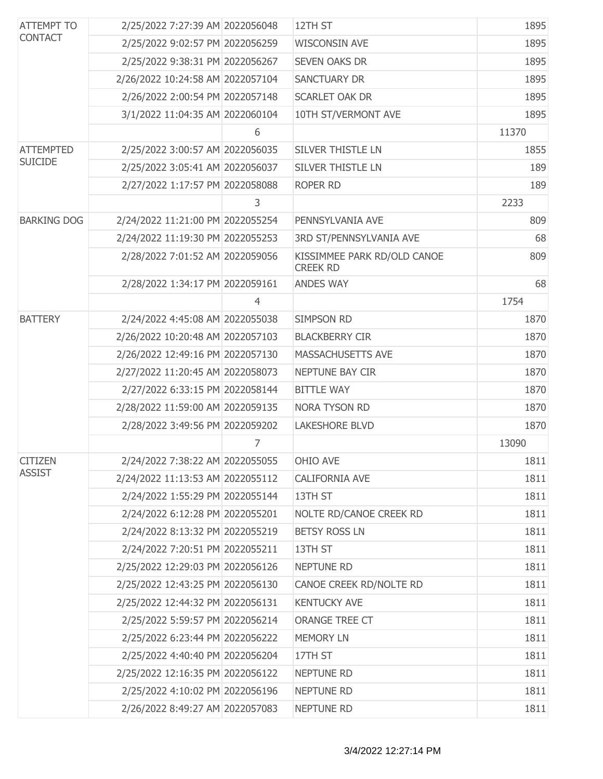| <b>ATTEMPT TO</b>  | 2/25/2022 7:27:39 AM 2022056048  |                | 12TH ST                                        | 1895  |
|--------------------|----------------------------------|----------------|------------------------------------------------|-------|
| <b>CONTACT</b>     | 2/25/2022 9:02:57 PM 2022056259  |                | <b>WISCONSIN AVE</b>                           | 1895  |
|                    | 2/25/2022 9:38:31 PM 2022056267  |                | <b>SEVEN OAKS DR</b>                           | 1895  |
|                    | 2/26/2022 10:24:58 AM 2022057104 |                | <b>SANCTUARY DR</b>                            | 1895  |
|                    | 2/26/2022 2:00:54 PM 2022057148  |                | <b>SCARLET OAK DR</b>                          | 1895  |
|                    | 3/1/2022 11:04:35 AM 2022060104  |                | 10TH ST/VERMONT AVE                            | 1895  |
|                    |                                  | 6              |                                                | 11370 |
| <b>ATTEMPTED</b>   | 2/25/2022 3:00:57 AM 2022056035  |                | SILVER THISTLE LN                              | 1855  |
| <b>SUICIDE</b>     | 2/25/2022 3:05:41 AM 2022056037  |                | <b>SILVER THISTLE LN</b>                       | 189   |
|                    | 2/27/2022 1:17:57 PM 2022058088  |                | ROPER RD                                       | 189   |
|                    |                                  | 3              |                                                | 2233  |
| <b>BARKING DOG</b> | 2/24/2022 11:21:00 PM 2022055254 |                | PENNSYLVANIA AVE                               | 809   |
|                    | 2/24/2022 11:19:30 PM 2022055253 |                | 3RD ST/PENNSYLVANIA AVE                        | 68    |
|                    | 2/28/2022 7:01:52 AM 2022059056  |                | KISSIMMEE PARK RD/OLD CANOE<br><b>CREEK RD</b> | 809   |
|                    | 2/28/2022 1:34:17 PM 2022059161  |                | <b>ANDES WAY</b>                               | 68    |
|                    |                                  | $\overline{4}$ |                                                | 1754  |
| <b>BATTERY</b>     | 2/24/2022 4:45:08 AM 2022055038  |                | <b>SIMPSON RD</b>                              | 1870  |
|                    | 2/26/2022 10:20:48 AM 2022057103 |                | <b>BLACKBERRY CIR</b>                          | 1870  |
|                    | 2/26/2022 12:49:16 PM 2022057130 |                | <b>MASSACHUSETTS AVE</b>                       | 1870  |
|                    | 2/27/2022 11:20:45 AM 2022058073 |                | NEPTUNE BAY CIR                                | 1870  |
|                    | 2/27/2022 6:33:15 PM 2022058144  |                | <b>BITTLE WAY</b>                              | 1870  |
|                    | 2/28/2022 11:59:00 AM 2022059135 |                | <b>NORA TYSON RD</b>                           | 1870  |
|                    | 2/28/2022 3:49:56 PM 2022059202  |                | <b>LAKESHORE BLVD</b>                          | 1870  |
|                    |                                  | 7              |                                                | 13090 |
| <b>CITIZEN</b>     | 2/24/2022 7:38:22 AM 2022055055  |                | OHIO AVE                                       | 1811  |
| <b>ASSIST</b>      | 2/24/2022 11:13:53 AM 2022055112 |                | CALIFORNIA AVE                                 | 1811  |
|                    | 2/24/2022 1:55:29 PM 2022055144  |                | 13TH ST                                        | 1811  |
|                    | 2/24/2022 6:12:28 PM 2022055201  |                | NOLTE RD/CANOE CREEK RD                        | 1811  |
|                    | 2/24/2022 8:13:32 PM 2022055219  |                | <b>BETSY ROSS LN</b>                           | 1811  |
|                    | 2/24/2022 7:20:51 PM 2022055211  |                | 13TH ST                                        | 1811  |
|                    | 2/25/2022 12:29:03 PM 2022056126 |                | NEPTUNE RD                                     | 1811  |
|                    | 2/25/2022 12:43:25 PM 2022056130 |                | CANOE CREEK RD/NOLTE RD                        | 1811  |
|                    | 2/25/2022 12:44:32 PM 2022056131 |                | <b>KENTUCKY AVE</b>                            | 1811  |
|                    | 2/25/2022 5:59:57 PM 2022056214  |                | ORANGE TREE CT                                 | 1811  |
|                    | 2/25/2022 6:23:44 PM 2022056222  |                | <b>MEMORY LN</b>                               | 1811  |
|                    | 2/25/2022 4:40:40 PM 2022056204  |                | 17TH ST                                        | 1811  |
|                    | 2/25/2022 12:16:35 PM 2022056122 |                | NEPTUNE RD                                     | 1811  |
|                    | 2/25/2022 4:10:02 PM 2022056196  |                | NEPTUNE RD                                     | 1811  |
|                    | 2/26/2022 8:49:27 AM 2022057083  |                | NEPTUNE RD                                     | 1811  |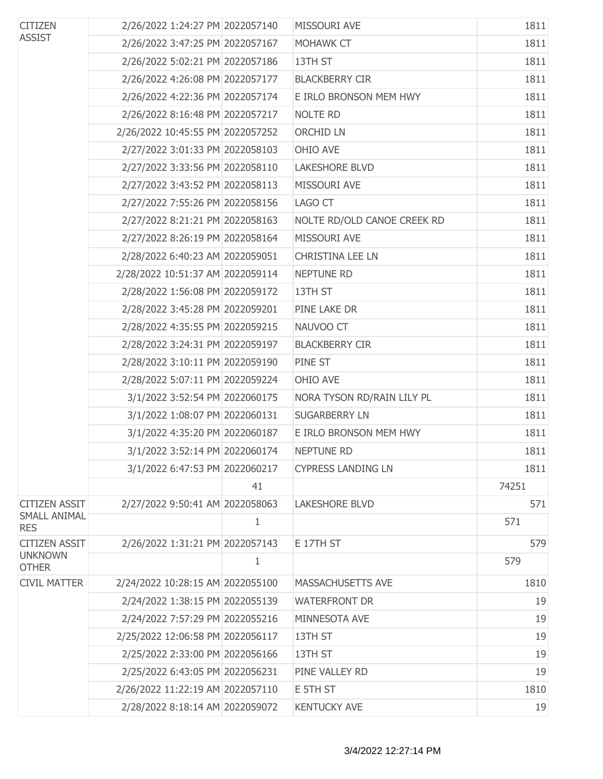| <b>CITIZEN</b><br><b>ASSIST</b>   | 2/26/2022 1:24:27 PM 2022057140  |              | MISSOURI AVE                | 1811  |
|-----------------------------------|----------------------------------|--------------|-----------------------------|-------|
|                                   | 2/26/2022 3:47:25 PM 2022057167  |              | MOHAWK CT                   | 1811  |
|                                   | 2/26/2022 5:02:21 PM 2022057186  |              | 13TH ST                     | 1811  |
|                                   | 2/26/2022 4:26:08 PM 2022057177  |              | <b>BLACKBERRY CIR</b>       | 1811  |
|                                   | 2/26/2022 4:22:36 PM 2022057174  |              | E IRLO BRONSON MEM HWY      | 1811  |
|                                   | 2/26/2022 8:16:48 PM 2022057217  |              | NOLTE RD                    | 1811  |
|                                   | 2/26/2022 10:45:55 PM 2022057252 |              | ORCHID LN                   | 1811  |
|                                   | 2/27/2022 3:01:33 PM 2022058103  |              | OHIO AVE                    | 1811  |
|                                   | 2/27/2022 3:33:56 PM 2022058110  |              | <b>LAKESHORE BLVD</b>       | 1811  |
|                                   | 2/27/2022 3:43:52 PM 2022058113  |              | MISSOURI AVE                | 1811  |
|                                   | 2/27/2022 7:55:26 PM 2022058156  |              | LAGO CT                     | 1811  |
|                                   | 2/27/2022 8:21:21 PM 2022058163  |              | NOLTE RD/OLD CANOE CREEK RD | 1811  |
|                                   | 2/27/2022 8:26:19 PM 2022058164  |              | MISSOURI AVE                | 1811  |
|                                   | 2/28/2022 6:40:23 AM 2022059051  |              | <b>CHRISTINA LEE LN</b>     | 1811  |
|                                   | 2/28/2022 10:51:37 AM 2022059114 |              | NEPTUNE RD                  | 1811  |
|                                   | 2/28/2022 1:56:08 PM 2022059172  |              | 13TH ST                     | 1811  |
|                                   | 2/28/2022 3:45:28 PM 2022059201  |              | PINE LAKE DR                | 1811  |
|                                   | 2/28/2022 4:35:55 PM 2022059215  |              | NAUVOO CT                   | 1811  |
|                                   | 2/28/2022 3:24:31 PM 2022059197  |              | <b>BLACKBERRY CIR</b>       | 1811  |
|                                   | 2/28/2022 3:10:11 PM 2022059190  |              | PINE ST                     | 1811  |
|                                   | 2/28/2022 5:07:11 PM 2022059224  |              | OHIO AVE                    | 1811  |
|                                   | 3/1/2022 3:52:54 PM 2022060175   |              | NORA TYSON RD/RAIN LILY PL  | 1811  |
|                                   | 3/1/2022 1:08:07 PM 2022060131   |              | <b>SUGARBERRY LN</b>        | 1811  |
|                                   | 3/1/2022 4:35:20 PM 2022060187   |              | E IRLO BRONSON MEM HWY      | 1811  |
|                                   | 3/1/2022 3:52:14 PM 2022060174   |              | <b>NEPTUNE RD</b>           | 1811  |
|                                   | 3/1/2022 6:47:53 PM 2022060217   |              | <b>CYPRESS LANDING LN</b>   | 1811  |
|                                   |                                  | 41           |                             | 74251 |
| <b>CITIZEN ASSIT</b>              | 2/27/2022 9:50:41 AM 2022058063  |              | <b>LAKESHORE BLVD</b>       | 571   |
| <b>SMALL ANIMAL</b><br><b>RES</b> |                                  | $\mathbf{1}$ |                             | 571   |
| <b>CITIZEN ASSIT</b>              | 2/26/2022 1:31:21 PM 2022057143  |              | E 17TH ST                   | 579   |
| <b>UNKNOWN</b><br><b>OTHER</b>    |                                  | $\mathbf{1}$ |                             | 579   |
| <b>CIVIL MATTER</b>               | 2/24/2022 10:28:15 AM 2022055100 |              | MASSACHUSETTS AVE           | 1810  |
|                                   | 2/24/2022 1:38:15 PM 2022055139  |              | <b>WATERFRONT DR</b>        | 19    |
|                                   | 2/24/2022 7:57:29 PM 2022055216  |              | MINNESOTA AVE               | 19    |
|                                   | 2/25/2022 12:06:58 PM 2022056117 |              | 13TH ST                     | 19    |
|                                   | 2/25/2022 2:33:00 PM 2022056166  |              | 13TH ST                     | 19    |
|                                   | 2/25/2022 6:43:05 PM 2022056231  |              | PINE VALLEY RD              | 19    |
|                                   | 2/26/2022 11:22:19 AM 2022057110 |              | E 5TH ST                    | 1810  |
|                                   | 2/28/2022 8:18:14 AM 2022059072  |              | <b>KENTUCKY AVE</b>         | 19    |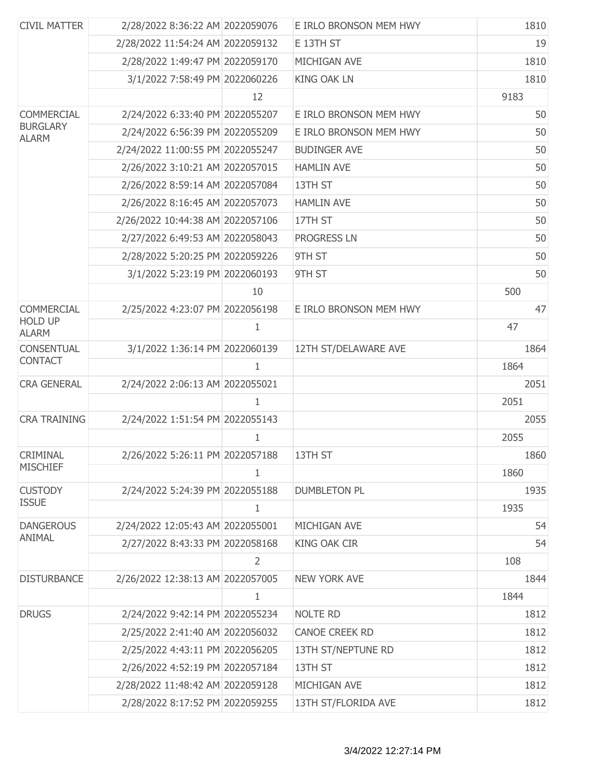| <b>CIVIL MATTER</b>             | 2/28/2022 8:36:22 AM 2022059076  |                | E IRLO BRONSON MEM HWY | 1810 |
|---------------------------------|----------------------------------|----------------|------------------------|------|
|                                 | 2/28/2022 11:54:24 AM 2022059132 |                | E 13TH ST              | 19   |
|                                 | 2/28/2022 1:49:47 PM 2022059170  |                | MICHIGAN AVE           | 1810 |
|                                 | 3/1/2022 7:58:49 PM 2022060226   |                | <b>KING OAK LN</b>     | 1810 |
|                                 |                                  | 12             |                        | 9183 |
| <b>COMMERCIAL</b>               | 2/24/2022 6:33:40 PM 2022055207  |                | E IRLO BRONSON MEM HWY | 50   |
| <b>BURGLARY</b><br><b>ALARM</b> | 2/24/2022 6:56:39 PM 2022055209  |                | E IRLO BRONSON MEM HWY | 50   |
|                                 | 2/24/2022 11:00:55 PM 2022055247 |                | <b>BUDINGER AVE</b>    | 50   |
|                                 | 2/26/2022 3:10:21 AM 2022057015  |                | <b>HAMLIN AVE</b>      | 50   |
|                                 | 2/26/2022 8:59:14 AM 2022057084  |                | 13TH ST                | 50   |
|                                 | 2/26/2022 8:16:45 AM 2022057073  |                | <b>HAMLIN AVE</b>      | 50   |
|                                 | 2/26/2022 10:44:38 AM 2022057106 |                | 17TH ST                | 50   |
|                                 | 2/27/2022 6:49:53 AM 2022058043  |                | <b>PROGRESS LN</b>     | 50   |
|                                 | 2/28/2022 5:20:25 PM 2022059226  |                | 9TH ST                 | 50   |
|                                 | 3/1/2022 5:23:19 PM 2022060193   |                | 9TH ST                 | 50   |
|                                 |                                  | 10             |                        | 500  |
| <b>COMMERCIAL</b>               | 2/25/2022 4:23:07 PM 2022056198  |                | E IRLO BRONSON MEM HWY | 47   |
| <b>HOLD UP</b><br><b>ALARM</b>  |                                  | 1              |                        | 47   |
| <b>CONSENTUAL</b>               | 3/1/2022 1:36:14 PM 2022060139   |                | 12TH ST/DELAWARE AVE   | 1864 |
| <b>CONTACT</b>                  |                                  | $\mathbf{1}$   |                        | 1864 |
| <b>CRA GENERAL</b>              | 2/24/2022 2:06:13 AM 2022055021  |                |                        | 2051 |
|                                 |                                  | 1              |                        | 2051 |
| <b>CRA TRAINING</b>             | 2/24/2022 1:51:54 PM 2022055143  |                |                        | 2055 |
|                                 |                                  | $\mathbf{1}$   |                        | 2055 |
| <b>CRIMINAL</b>                 | 2/26/2022 5:26:11 PM 2022057188  |                | 13TH ST                | 1860 |
| <b>MISCHIEF</b>                 |                                  | 1              |                        | 1860 |
| <b>CUSTODY</b>                  | 2/24/2022 5:24:39 PM 2022055188  |                | <b>DUMBLETON PL</b>    | 1935 |
| <b>ISSUE</b>                    |                                  | 1              |                        | 1935 |
| <b>DANGEROUS</b>                | 2/24/2022 12:05:43 AM 2022055001 |                | MICHIGAN AVE           | 54   |
| <b>ANIMAL</b>                   | 2/27/2022 8:43:33 PM 2022058168  |                | <b>KING OAK CIR</b>    | 54   |
|                                 |                                  | $\overline{2}$ |                        | 108  |
| <b>DISTURBANCE</b>              | 2/26/2022 12:38:13 AM 2022057005 |                | <b>NEW YORK AVE</b>    | 1844 |
|                                 |                                  | $\mathbf{1}$   |                        | 1844 |
| <b>DRUGS</b>                    | 2/24/2022 9:42:14 PM 2022055234  |                | <b>NOLTE RD</b>        | 1812 |
|                                 | 2/25/2022 2:41:40 AM 2022056032  |                | <b>CANOE CREEK RD</b>  | 1812 |
|                                 | 2/25/2022 4:43:11 PM 2022056205  |                | 13TH ST/NEPTUNE RD     | 1812 |
|                                 | 2/26/2022 4:52:19 PM 2022057184  |                | 13TH ST                | 1812 |
|                                 | 2/28/2022 11:48:42 AM 2022059128 |                | MICHIGAN AVE           | 1812 |
|                                 | 2/28/2022 8:17:52 PM 2022059255  |                | 13TH ST/FLORIDA AVE    | 1812 |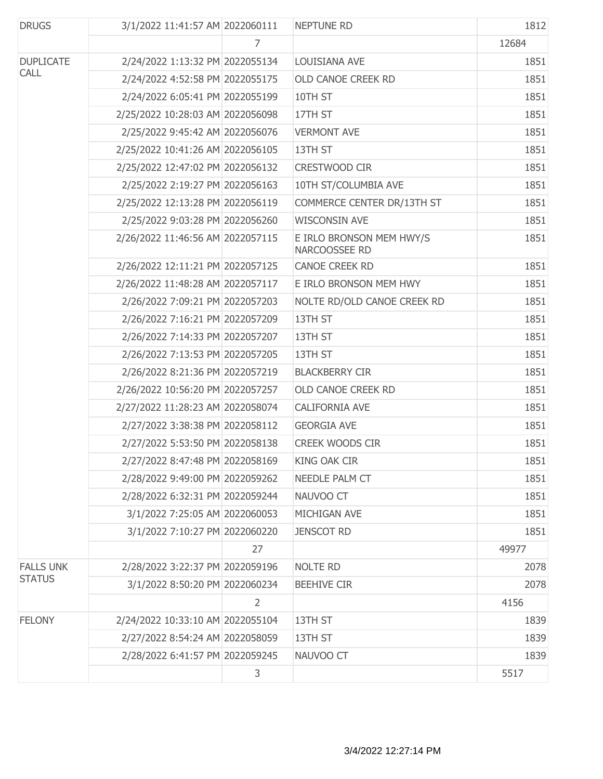| <b>DRUGS</b>     | 3/1/2022 11:41:57 AM 2022060111  |    | <b>NEPTUNE RD</b>                         | 1812  |
|------------------|----------------------------------|----|-------------------------------------------|-------|
|                  |                                  | 7  |                                           | 12684 |
| <b>DUPLICATE</b> | 2/24/2022 1:13:32 PM 2022055134  |    | LOUISIANA AVE                             | 1851  |
| <b>CALL</b>      | 2/24/2022 4:52:58 PM 2022055175  |    | OLD CANOE CREEK RD                        | 1851  |
|                  | 2/24/2022 6:05:41 PM 2022055199  |    | 10TH ST                                   | 1851  |
|                  | 2/25/2022 10:28:03 AM 2022056098 |    | 17TH ST                                   | 1851  |
|                  | 2/25/2022 9:45:42 AM 2022056076  |    | <b>VERMONT AVE</b>                        | 1851  |
|                  | 2/25/2022 10:41:26 AM 2022056105 |    | 13TH ST                                   | 1851  |
|                  | 2/25/2022 12:47:02 PM 2022056132 |    | CRESTWOOD CIR                             | 1851  |
|                  | 2/25/2022 2:19:27 PM 2022056163  |    | 10TH ST/COLUMBIA AVE                      | 1851  |
|                  | 2/25/2022 12:13:28 PM 2022056119 |    | COMMERCE CENTER DR/13TH ST                | 1851  |
|                  | 2/25/2022 9:03:28 PM 2022056260  |    | <b>WISCONSIN AVE</b>                      | 1851  |
|                  | 2/26/2022 11:46:56 AM 2022057115 |    | E IRLO BRONSON MEM HWY/S<br>NARCOOSSEE RD | 1851  |
|                  | 2/26/2022 12:11:21 PM 2022057125 |    | CANOE CREEK RD                            | 1851  |
|                  | 2/26/2022 11:48:28 AM 2022057117 |    | E IRLO BRONSON MEM HWY                    | 1851  |
|                  | 2/26/2022 7:09:21 PM 2022057203  |    | NOLTE RD/OLD CANOE CREEK RD               | 1851  |
|                  | 2/26/2022 7:16:21 PM 2022057209  |    | 13TH ST                                   | 1851  |
|                  | 2/26/2022 7:14:33 PM 2022057207  |    | 13TH ST                                   | 1851  |
|                  | 2/26/2022 7:13:53 PM 2022057205  |    | 13TH ST                                   | 1851  |
|                  | 2/26/2022 8:21:36 PM 2022057219  |    | <b>BLACKBERRY CIR</b>                     | 1851  |
|                  | 2/26/2022 10:56:20 PM 2022057257 |    | OLD CANOE CREEK RD                        | 1851  |
|                  | 2/27/2022 11:28:23 AM 2022058074 |    | CALIFORNIA AVE                            | 1851  |
|                  | 2/27/2022 3:38:38 PM 2022058112  |    | <b>GEORGIA AVE</b>                        | 1851  |
|                  | 2/27/2022 5:53:50 PM 2022058138  |    | <b>CREEK WOODS CIR</b>                    | 1851  |
|                  | 2/27/2022 8:47:48 PM 2022058169  |    | <b>KING OAK CIR</b>                       | 1851  |
|                  | 2/28/2022 9:49:00 PM 2022059262  |    | NEEDLE PALM CT                            | 1851  |
|                  | 2/28/2022 6:32:31 PM 2022059244  |    | NAUVOO CT                                 | 1851  |
|                  | 3/1/2022 7:25:05 AM 2022060053   |    | MICHIGAN AVE                              | 1851  |
|                  | 3/1/2022 7:10:27 PM 2022060220   |    | <b>JENSCOT RD</b>                         | 1851  |
|                  |                                  | 27 |                                           | 49977 |
| <b>FALLS UNK</b> | 2/28/2022 3:22:37 PM 2022059196  |    | <b>NOLTE RD</b>                           | 2078  |
| <b>STATUS</b>    | 3/1/2022 8:50:20 PM 2022060234   |    | <b>BEEHIVE CIR</b>                        | 2078  |
|                  |                                  | 2  |                                           | 4156  |
| <b>FELONY</b>    | 2/24/2022 10:33:10 AM 2022055104 |    | 13TH ST                                   | 1839  |
|                  | 2/27/2022 8:54:24 AM 2022058059  |    | 13TH ST                                   | 1839  |
|                  | 2/28/2022 6:41:57 PM 2022059245  |    | NAUVOO CT                                 | 1839  |
|                  |                                  | 3  |                                           | 5517  |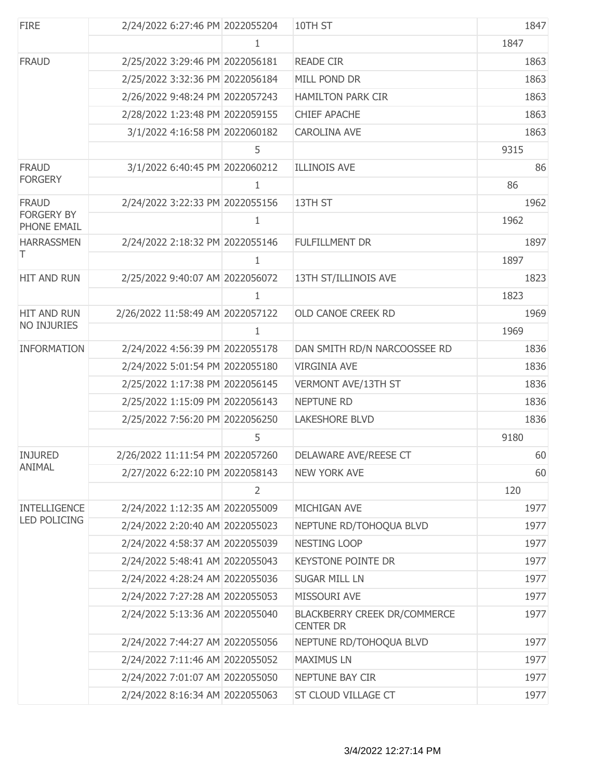| <b>FIRE</b>                      | 2/24/2022 6:27:46 PM 2022055204  |   | 10TH ST                                                 | 1847 |
|----------------------------------|----------------------------------|---|---------------------------------------------------------|------|
|                                  |                                  | 1 |                                                         | 1847 |
| <b>FRAUD</b>                     | 2/25/2022 3:29:46 PM 2022056181  |   | <b>READE CIR</b>                                        | 1863 |
|                                  | 2/25/2022 3:32:36 PM 2022056184  |   | MILL POND DR                                            | 1863 |
|                                  | 2/26/2022 9:48:24 PM 2022057243  |   | <b>HAMILTON PARK CIR</b>                                | 1863 |
|                                  | 2/28/2022 1:23:48 PM 2022059155  |   | <b>CHIEF APACHE</b>                                     | 1863 |
|                                  | 3/1/2022 4:16:58 PM 2022060182   |   | <b>CAROLINA AVE</b>                                     | 1863 |
|                                  |                                  | 5 |                                                         | 9315 |
| <b>FRAUD</b>                     | 3/1/2022 6:40:45 PM 2022060212   |   | <b>ILLINOIS AVE</b>                                     | 86   |
| <b>FORGERY</b>                   |                                  | 1 |                                                         | 86   |
| <b>FRAUD</b>                     | 2/24/2022 3:22:33 PM 2022055156  |   | 13TH ST                                                 | 1962 |
| <b>FORGERY BY</b><br>PHONE EMAIL |                                  | 1 |                                                         | 1962 |
| <b>HARRASSMEN</b>                | 2/24/2022 2:18:32 PM 2022055146  |   | <b>FULFILLMENT DR</b>                                   | 1897 |
| Τ                                |                                  | 1 |                                                         | 1897 |
| HIT AND RUN                      | 2/25/2022 9:40:07 AM 2022056072  |   | 13TH ST/ILLINOIS AVE                                    | 1823 |
|                                  |                                  | 1 |                                                         | 1823 |
| <b>HIT AND RUN</b>               | 2/26/2022 11:58:49 AM 2022057122 |   | OLD CANOE CREEK RD                                      | 1969 |
| NO INJURIES                      |                                  | 1 |                                                         | 1969 |
| <b>INFORMATION</b>               | 2/24/2022 4:56:39 PM 2022055178  |   | DAN SMITH RD/N NARCOOSSEE RD                            | 1836 |
|                                  | 2/24/2022 5:01:54 PM 2022055180  |   | <b>VIRGINIA AVE</b>                                     | 1836 |
|                                  | 2/25/2022 1:17:38 PM 2022056145  |   | VERMONT AVE/13TH ST                                     | 1836 |
|                                  | 2/25/2022 1:15:09 PM 2022056143  |   | <b>NEPTUNE RD</b>                                       | 1836 |
|                                  | 2/25/2022 7:56:20 PM 2022056250  |   | <b>LAKESHORE BLVD</b>                                   | 1836 |
|                                  |                                  | 5 |                                                         | 9180 |
| <b>INJURED</b>                   | 2/26/2022 11:11:54 PM 2022057260 |   | DELAWARE AVE/REESE CT                                   | 60   |
| ANIMAL                           | 2/27/2022 6:22:10 PM 2022058143  |   | <b>NEW YORK AVE</b>                                     | 60   |
|                                  |                                  | 2 |                                                         | 120  |
| <b>INTELLIGENCE</b>              | 2/24/2022 1:12:35 AM 2022055009  |   | MICHIGAN AVE                                            | 1977 |
| <b>LED POLICING</b>              | 2/24/2022 2:20:40 AM 2022055023  |   | NEPTUNE RD/TOHOQUA BLVD                                 | 1977 |
|                                  | 2/24/2022 4:58:37 AM 2022055039  |   | NESTING LOOP                                            | 1977 |
|                                  | 2/24/2022 5:48:41 AM 2022055043  |   | KEYSTONE POINTE DR                                      | 1977 |
|                                  | 2/24/2022 4:28:24 AM 2022055036  |   | <b>SUGAR MILL LN</b>                                    | 1977 |
|                                  | 2/24/2022 7:27:28 AM 2022055053  |   | MISSOURI AVE                                            | 1977 |
|                                  | 2/24/2022 5:13:36 AM 2022055040  |   | <b>BLACKBERRY CREEK DR/COMMERCE</b><br><b>CENTER DR</b> | 1977 |
|                                  | 2/24/2022 7:44:27 AM 2022055056  |   | NEPTUNE RD/TOHOQUA BLVD                                 | 1977 |
|                                  | 2/24/2022 7:11:46 AM 2022055052  |   | <b>MAXIMUS LN</b>                                       | 1977 |
|                                  | 2/24/2022 7:01:07 AM 2022055050  |   | NEPTUNE BAY CIR                                         | 1977 |
|                                  | 2/24/2022 8:16:34 AM 2022055063  |   | ST CLOUD VILLAGE CT                                     | 1977 |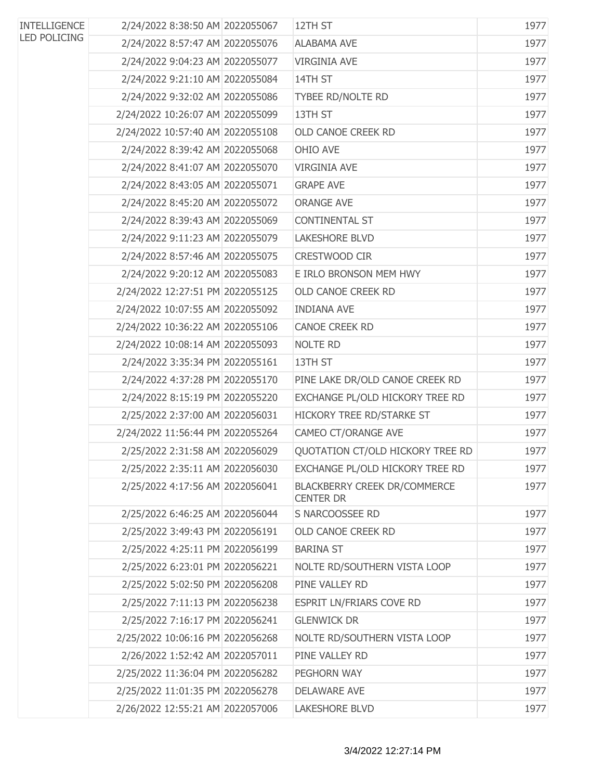| <b>INTELLIGENCE</b> | 2/24/2022 8:38:50 AM 2022055067  | 12TH ST                                          | 1977 |
|---------------------|----------------------------------|--------------------------------------------------|------|
| <b>LED POLICING</b> | 2/24/2022 8:57:47 AM 2022055076  | <b>ALABAMA AVE</b>                               | 1977 |
|                     | 2/24/2022 9:04:23 AM 2022055077  | <b>VIRGINIA AVE</b>                              | 1977 |
|                     | 2/24/2022 9:21:10 AM 2022055084  | 14TH ST                                          | 1977 |
|                     | 2/24/2022 9:32:02 AM 2022055086  | <b>TYBEE RD/NOLTE RD</b>                         | 1977 |
|                     | 2/24/2022 10:26:07 AM 2022055099 | 13TH ST                                          | 1977 |
|                     | 2/24/2022 10:57:40 AM 2022055108 | <b>OLD CANOE CREEK RD</b>                        | 1977 |
|                     | 2/24/2022 8:39:42 AM 2022055068  | OHIO AVE                                         | 1977 |
|                     | 2/24/2022 8:41:07 AM 2022055070  | <b>VIRGINIA AVE</b>                              | 1977 |
|                     | 2/24/2022 8:43:05 AM 2022055071  | <b>GRAPE AVE</b>                                 | 1977 |
|                     | 2/24/2022 8:45:20 AM 2022055072  | <b>ORANGE AVE</b>                                | 1977 |
|                     | 2/24/2022 8:39:43 AM 2022055069  | <b>CONTINENTAL ST</b>                            | 1977 |
|                     | 2/24/2022 9:11:23 AM 2022055079  | <b>LAKESHORE BLVD</b>                            | 1977 |
|                     | 2/24/2022 8:57:46 AM 2022055075  | <b>CRESTWOOD CIR</b>                             | 1977 |
|                     | 2/24/2022 9:20:12 AM 2022055083  | E IRLO BRONSON MEM HWY                           | 1977 |
|                     | 2/24/2022 12:27:51 PM 2022055125 | <b>OLD CANOE CREEK RD</b>                        | 1977 |
|                     | 2/24/2022 10:07:55 AM 2022055092 | <b>INDIANA AVE</b>                               | 1977 |
|                     | 2/24/2022 10:36:22 AM 2022055106 | <b>CANOE CREEK RD</b>                            | 1977 |
|                     | 2/24/2022 10:08:14 AM 2022055093 | NOLTE RD                                         | 1977 |
|                     | 2/24/2022 3:35:34 PM 2022055161  | 13TH ST                                          | 1977 |
|                     | 2/24/2022 4:37:28 PM 2022055170  | PINE LAKE DR/OLD CANOE CREEK RD                  | 1977 |
|                     | 2/24/2022 8:15:19 PM 2022055220  | EXCHANGE PL/OLD HICKORY TREE RD                  | 1977 |
|                     | 2/25/2022 2:37:00 AM 2022056031  | HICKORY TREE RD/STARKE ST                        | 1977 |
|                     | 2/24/2022 11:56:44 PM 2022055264 | CAMEO CT/ORANGE AVE                              | 1977 |
|                     | 2/25/2022 2:31:58 AM 2022056029  | QUOTATION CT/OLD HICKORY TREE RD                 | 1977 |
|                     | 2/25/2022 2:35:11 AM 2022056030  | EXCHANGE PL/OLD HICKORY TREE RD                  | 1977 |
|                     | 2/25/2022 4:17:56 AM 2022056041  | BLACKBERRY CREEK DR/COMMERCE<br><b>CENTER DR</b> | 1977 |
|                     | 2/25/2022 6:46:25 AM 2022056044  | S NARCOOSSEE RD                                  | 1977 |
|                     | 2/25/2022 3:49:43 PM 2022056191  | OLD CANOE CREEK RD                               | 1977 |
|                     | 2/25/2022 4:25:11 PM 2022056199  | <b>BARINA ST</b>                                 | 1977 |
|                     | 2/25/2022 6:23:01 PM 2022056221  | NOLTE RD/SOUTHERN VISTA LOOP                     | 1977 |
|                     | 2/25/2022 5:02:50 PM 2022056208  | PINE VALLEY RD                                   | 1977 |
|                     | 2/25/2022 7:11:13 PM 2022056238  | ESPRIT LN/FRIARS COVE RD                         | 1977 |
|                     | 2/25/2022 7:16:17 PM 2022056241  | <b>GLENWICK DR</b>                               | 1977 |
|                     | 2/25/2022 10:06:16 PM 2022056268 | NOLTE RD/SOUTHERN VISTA LOOP                     | 1977 |
|                     | 2/26/2022 1:52:42 AM 2022057011  | PINE VALLEY RD                                   | 1977 |
|                     | 2/25/2022 11:36:04 PM 2022056282 | PEGHORN WAY                                      | 1977 |
|                     | 2/25/2022 11:01:35 PM 2022056278 | <b>DELAWARE AVE</b>                              | 1977 |
|                     | 2/26/2022 12:55:21 AM 2022057006 | <b>LAKESHORE BLVD</b>                            | 1977 |
|                     |                                  |                                                  |      |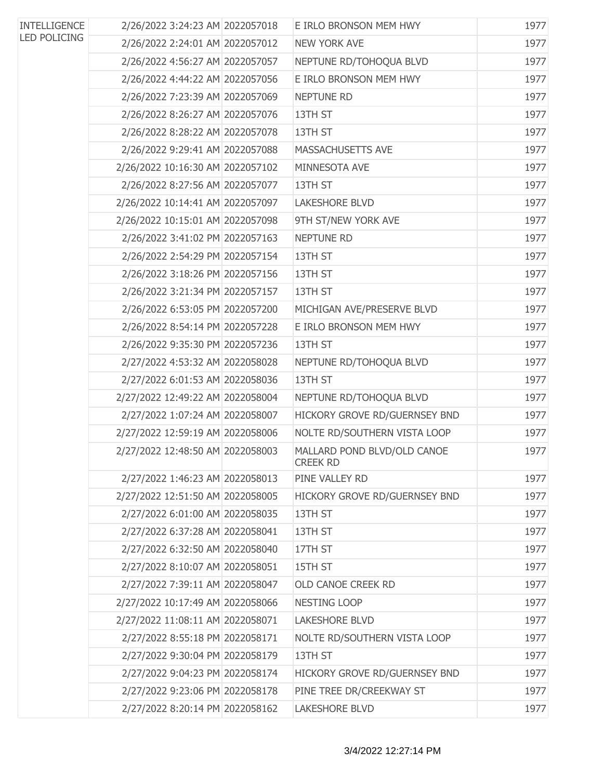| <b>INTELLIGENCE</b> | 2/26/2022 3:24:23 AM 2022057018  | E IRLO BRONSON MEM HWY                  | 1977 |
|---------------------|----------------------------------|-----------------------------------------|------|
| <b>LED POLICING</b> | 2/26/2022 2:24:01 AM 2022057012  | <b>NEW YORK AVE</b>                     | 1977 |
|                     | 2/26/2022 4:56:27 AM 2022057057  | NEPTUNE RD/TOHOQUA BLVD                 | 1977 |
|                     | 2/26/2022 4:44:22 AM 2022057056  | E IRLO BRONSON MEM HWY                  | 1977 |
|                     | 2/26/2022 7:23:39 AM 2022057069  | <b>NEPTUNE RD</b>                       | 1977 |
|                     | 2/26/2022 8:26:27 AM 2022057076  | 13TH ST                                 | 1977 |
|                     | 2/26/2022 8:28:22 AM 2022057078  | 13TH ST                                 | 1977 |
|                     | 2/26/2022 9:29:41 AM 2022057088  | MASSACHUSETTS AVE                       | 1977 |
|                     | 2/26/2022 10:16:30 AM 2022057102 | MINNESOTA AVE                           | 1977 |
|                     | 2/26/2022 8:27:56 AM 2022057077  | 13TH ST                                 | 1977 |
|                     | 2/26/2022 10:14:41 AM 2022057097 | <b>LAKESHORE BLVD</b>                   | 1977 |
|                     | 2/26/2022 10:15:01 AM 2022057098 | 9TH ST/NEW YORK AVE                     | 1977 |
|                     | 2/26/2022 3:41:02 PM 2022057163  | <b>NEPTUNE RD</b>                       | 1977 |
|                     | 2/26/2022 2:54:29 PM 2022057154  | 13TH ST                                 | 1977 |
|                     | 2/26/2022 3:18:26 PM 2022057156  | 13TH ST                                 | 1977 |
|                     | 2/26/2022 3:21:34 PM 2022057157  | 13TH ST                                 | 1977 |
|                     | 2/26/2022 6:53:05 PM 2022057200  | MICHIGAN AVE/PRESERVE BLVD              | 1977 |
|                     | 2/26/2022 8:54:14 PM 2022057228  | E IRLO BRONSON MEM HWY                  | 1977 |
|                     | 2/26/2022 9:35:30 PM 2022057236  | 13TH ST                                 | 1977 |
|                     | 2/27/2022 4:53:32 AM 2022058028  | NEPTUNE RD/TOHOQUA BLVD                 | 1977 |
|                     | 2/27/2022 6:01:53 AM 2022058036  | 13TH ST                                 | 1977 |
|                     | 2/27/2022 12:49:22 AM 2022058004 | NEPTUNE RD/TOHOQUA BLVD                 | 1977 |
|                     | 2/27/2022 1:07:24 AM 2022058007  | HICKORY GROVE RD/GUERNSEY BND           | 1977 |
|                     | 2/27/2022 12:59:19 AM 2022058006 | NOLTE RD/SOUTHERN VISTA LOOP            | 1977 |
|                     | 2/27/2022 12:48:50 AM 2022058003 | MALLARD POND BLVD/OLD CANOE<br>CREEK RD | 1977 |
|                     | 2/27/2022 1:46:23 AM 2022058013  | PINE VALLEY RD                          | 1977 |
|                     | 2/27/2022 12:51:50 AM 2022058005 | HICKORY GROVE RD/GUERNSEY BND           | 1977 |
|                     | 2/27/2022 6:01:00 AM 2022058035  | 13TH ST                                 | 1977 |
|                     | 2/27/2022 6:37:28 AM 2022058041  | 13TH ST                                 | 1977 |
|                     | 2/27/2022 6:32:50 AM 2022058040  | 17TH ST                                 | 1977 |
|                     | 2/27/2022 8:10:07 AM 2022058051  | 15TH ST                                 | 1977 |
|                     | 2/27/2022 7:39:11 AM 2022058047  | OLD CANOE CREEK RD                      | 1977 |
|                     | 2/27/2022 10:17:49 AM 2022058066 | NESTING LOOP                            | 1977 |
|                     | 2/27/2022 11:08:11 AM 2022058071 | <b>LAKESHORE BLVD</b>                   | 1977 |
|                     | 2/27/2022 8:55:18 PM 2022058171  | NOLTE RD/SOUTHERN VISTA LOOP            | 1977 |
|                     | 2/27/2022 9:30:04 PM 2022058179  | 13TH ST                                 | 1977 |
|                     | 2/27/2022 9:04:23 PM 2022058174  | HICKORY GROVE RD/GUERNSEY BND           | 1977 |
|                     | 2/27/2022 9:23:06 PM 2022058178  | PINE TREE DR/CREEKWAY ST                | 1977 |
|                     | 2/27/2022 8:20:14 PM 2022058162  | <b>LAKESHORE BLVD</b>                   | 1977 |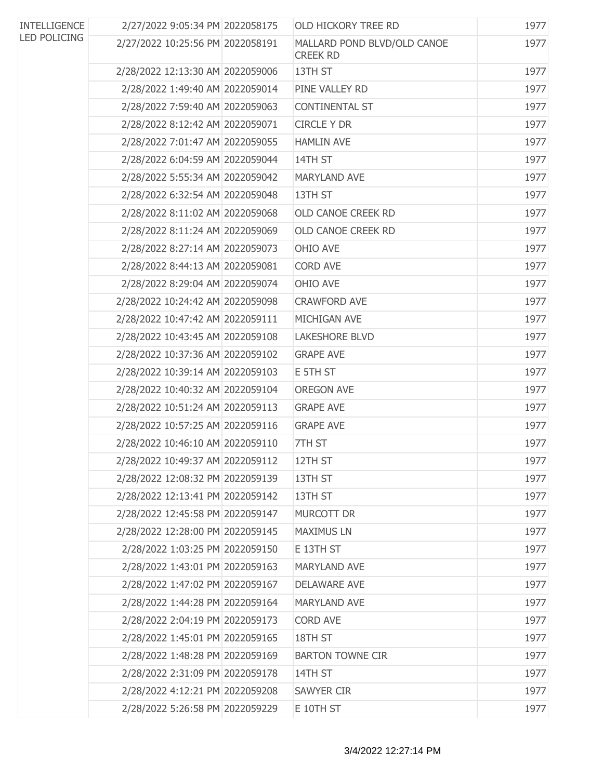| <b>INTELLIGENCE</b><br><b>LED POLICING</b> | 2/27/2022 9:05:34 PM 2022058175  | <b>OLD HICKORY TREE RD</b>                     | 1977 |
|--------------------------------------------|----------------------------------|------------------------------------------------|------|
|                                            | 2/27/2022 10:25:56 PM 2022058191 | MALLARD POND BLVD/OLD CANOE<br><b>CREEK RD</b> | 1977 |
|                                            | 2/28/2022 12:13:30 AM 2022059006 | 13TH ST                                        | 1977 |
|                                            | 2/28/2022 1:49:40 AM 2022059014  | PINE VALLEY RD                                 | 1977 |
|                                            | 2/28/2022 7:59:40 AM 2022059063  | CONTINENTAL ST                                 | 1977 |
|                                            | 2/28/2022 8:12:42 AM 2022059071  | <b>CIRCLE Y DR</b>                             | 1977 |
|                                            | 2/28/2022 7:01:47 AM 2022059055  | <b>HAMLIN AVE</b>                              | 1977 |
|                                            | 2/28/2022 6:04:59 AM 2022059044  | 14TH ST                                        | 1977 |
|                                            | 2/28/2022 5:55:34 AM 2022059042  | MARYLAND AVE                                   | 1977 |
|                                            | 2/28/2022 6:32:54 AM 2022059048  | 13TH ST                                        | 1977 |
|                                            | 2/28/2022 8:11:02 AM 2022059068  | OLD CANOE CREEK RD                             | 1977 |
|                                            | 2/28/2022 8:11:24 AM 2022059069  | OLD CANOE CREEK RD                             | 1977 |
|                                            | 2/28/2022 8:27:14 AM 2022059073  | OHIO AVE                                       | 1977 |
|                                            | 2/28/2022 8:44:13 AM 2022059081  | <b>CORD AVE</b>                                | 1977 |
|                                            | 2/28/2022 8:29:04 AM 2022059074  | OHIO AVE                                       | 1977 |
|                                            | 2/28/2022 10:24:42 AM 2022059098 | <b>CRAWFORD AVE</b>                            | 1977 |
|                                            | 2/28/2022 10:47:42 AM 2022059111 | MICHIGAN AVE                                   | 1977 |
|                                            | 2/28/2022 10:43:45 AM 2022059108 | <b>LAKESHORE BLVD</b>                          | 1977 |
|                                            | 2/28/2022 10:37:36 AM 2022059102 | <b>GRAPE AVE</b>                               | 1977 |
|                                            | 2/28/2022 10:39:14 AM 2022059103 | E 5TH ST                                       | 1977 |
|                                            | 2/28/2022 10:40:32 AM 2022059104 | <b>OREGON AVE</b>                              | 1977 |
|                                            | 2/28/2022 10:51:24 AM 2022059113 | <b>GRAPE AVE</b>                               | 1977 |
|                                            | 2/28/2022 10:57:25 AM 2022059116 | <b>GRAPE AVE</b>                               | 1977 |
|                                            | 2/28/2022 10:46:10 AM 2022059110 | 7TH ST                                         | 1977 |
|                                            | 2/28/2022 10:49:37 AM 2022059112 | 12TH ST                                        | 1977 |
|                                            | 2/28/2022 12:08:32 PM 2022059139 | 13TH ST                                        | 1977 |
|                                            | 2/28/2022 12:13:41 PM 2022059142 | 13TH ST                                        | 1977 |
|                                            | 2/28/2022 12:45:58 PM 2022059147 | <b>MURCOTT DR</b>                              | 1977 |
|                                            | 2/28/2022 12:28:00 PM 2022059145 | <b>MAXIMUS LN</b>                              | 1977 |
|                                            | 2/28/2022 1:03:25 PM 2022059150  | E 13TH ST                                      | 1977 |
|                                            | 2/28/2022 1:43:01 PM 2022059163  | <b>MARYLAND AVE</b>                            | 1977 |
|                                            | 2/28/2022 1:47:02 PM 2022059167  | <b>DELAWARE AVE</b>                            | 1977 |
|                                            | 2/28/2022 1:44:28 PM 2022059164  | <b>MARYLAND AVE</b>                            | 1977 |
|                                            | 2/28/2022 2:04:19 PM 2022059173  | <b>CORD AVE</b>                                | 1977 |
|                                            | 2/28/2022 1:45:01 PM 2022059165  | 18TH ST                                        | 1977 |
|                                            | 2/28/2022 1:48:28 PM 2022059169  | <b>BARTON TOWNE CIR</b>                        | 1977 |
|                                            | 2/28/2022 2:31:09 PM 2022059178  | 14TH ST                                        | 1977 |
|                                            | 2/28/2022 4:12:21 PM 2022059208  | <b>SAWYER CIR</b>                              | 1977 |
|                                            | 2/28/2022 5:26:58 PM 2022059229  | E 10TH ST                                      | 1977 |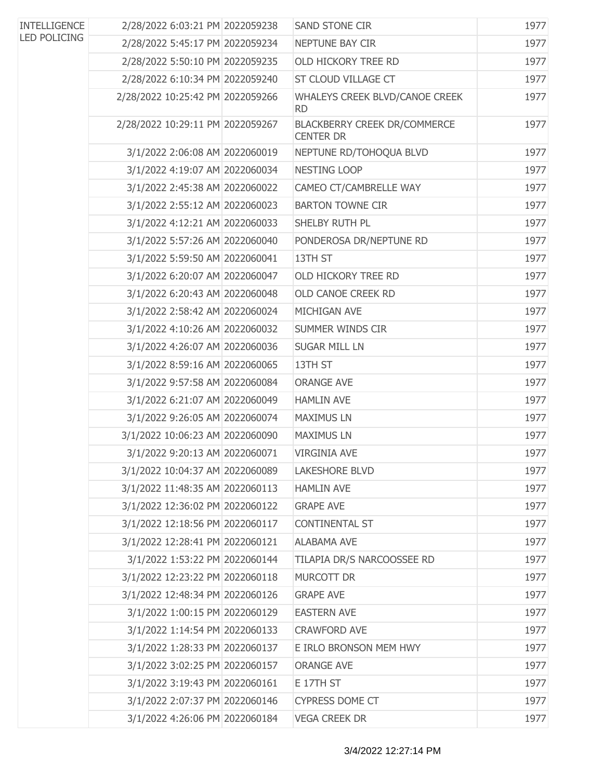| <b>INTELLIGENCE</b> | 2/28/2022 6:03:21 PM 2022059238  | SAND STONE CIR                                   | 1977 |
|---------------------|----------------------------------|--------------------------------------------------|------|
| <b>LED POLICING</b> | 2/28/2022 5:45:17 PM 2022059234  | NEPTUNE BAY CIR                                  | 1977 |
|                     | 2/28/2022 5:50:10 PM 2022059235  | <b>OLD HICKORY TREE RD</b>                       | 1977 |
|                     | 2/28/2022 6:10:34 PM 2022059240  | ST CLOUD VILLAGE CT                              | 1977 |
|                     | 2/28/2022 10:25:42 PM 2022059266 | WHALEYS CREEK BLVD/CANOE CREEK<br><b>RD</b>      | 1977 |
|                     | 2/28/2022 10:29:11 PM 2022059267 | BLACKBERRY CREEK DR/COMMERCE<br><b>CENTER DR</b> | 1977 |
|                     | 3/1/2022 2:06:08 AM 2022060019   | NEPTUNE RD/TOHOQUA BLVD                          | 1977 |
|                     | 3/1/2022 4:19:07 AM 2022060034   | NESTING LOOP                                     | 1977 |
|                     | 3/1/2022 2:45:38 AM 2022060022   | CAMEO CT/CAMBRELLE WAY                           | 1977 |
|                     | 3/1/2022 2:55:12 AM 2022060023   | <b>BARTON TOWNE CIR</b>                          | 1977 |
|                     | 3/1/2022 4:12:21 AM 2022060033   | SHELBY RUTH PL                                   | 1977 |
|                     | 3/1/2022 5:57:26 AM 2022060040   | PONDEROSA DR/NEPTUNE RD                          | 1977 |
|                     | 3/1/2022 5:59:50 AM 2022060041   | 13TH ST                                          | 1977 |
|                     | 3/1/2022 6:20:07 AM 2022060047   | OLD HICKORY TREE RD                              | 1977 |
|                     | 3/1/2022 6:20:43 AM 2022060048   | OLD CANOE CREEK RD                               | 1977 |
|                     | 3/1/2022 2:58:42 AM 2022060024   | MICHIGAN AVE                                     | 1977 |
|                     | 3/1/2022 4:10:26 AM 2022060032   | SUMMER WINDS CIR                                 | 1977 |
|                     | 3/1/2022 4:26:07 AM 2022060036   | <b>SUGAR MILL LN</b>                             | 1977 |
|                     | 3/1/2022 8:59:16 AM 2022060065   | 13TH ST                                          | 1977 |
|                     | 3/1/2022 9:57:58 AM 2022060084   | <b>ORANGE AVE</b>                                | 1977 |
|                     | 3/1/2022 6:21:07 AM 2022060049   | <b>HAMLIN AVE</b>                                | 1977 |
|                     | 3/1/2022 9:26:05 AM 2022060074   | <b>MAXIMUS LN</b>                                | 1977 |
|                     | 3/1/2022 10:06:23 AM 2022060090  | <b>MAXIMUS LN</b>                                | 1977 |
|                     | 3/1/2022 9:20:13 AM 2022060071   | <b>VIRGINIA AVE</b>                              | 1977 |
|                     | 3/1/2022 10:04:37 AM 2022060089  | <b>LAKESHORE BLVD</b>                            | 1977 |
|                     | 3/1/2022 11:48:35 AM 2022060113  | <b>HAMLIN AVE</b>                                | 1977 |
|                     | 3/1/2022 12:36:02 PM 2022060122  | <b>GRAPE AVE</b>                                 | 1977 |
|                     | 3/1/2022 12:18:56 PM 2022060117  | <b>CONTINENTAL ST</b>                            | 1977 |
|                     | 3/1/2022 12:28:41 PM 2022060121  | <b>ALABAMA AVE</b>                               | 1977 |
|                     | 3/1/2022 1:53:22 PM 2022060144   | TILAPIA DR/S NARCOOSSEE RD                       | 1977 |
|                     | 3/1/2022 12:23:22 PM 2022060118  | MURCOTT DR                                       | 1977 |
|                     | 3/1/2022 12:48:34 PM 2022060126  | <b>GRAPE AVE</b>                                 | 1977 |
|                     | 3/1/2022 1:00:15 PM 2022060129   | <b>EASTERN AVE</b>                               | 1977 |
|                     | 3/1/2022 1:14:54 PM 2022060133   | <b>CRAWFORD AVE</b>                              | 1977 |
|                     | 3/1/2022 1:28:33 PM 2022060137   | E IRLO BRONSON MEM HWY                           | 1977 |
|                     | 3/1/2022 3:02:25 PM 2022060157   | <b>ORANGE AVE</b>                                | 1977 |
|                     | 3/1/2022 3:19:43 PM 2022060161   | E 17TH ST                                        | 1977 |
|                     | 3/1/2022 2:07:37 PM 2022060146   | <b>CYPRESS DOME CT</b>                           | 1977 |
|                     | 3/1/2022 4:26:06 PM 2022060184   | <b>VEGA CREEK DR</b>                             | 1977 |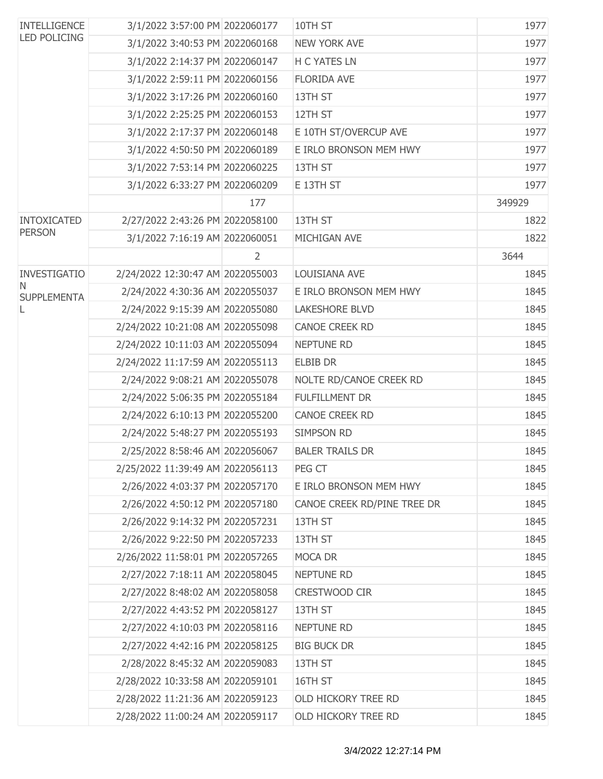| <b>INTELLIGENCE</b>     | 3/1/2022 3:57:00 PM 2022060177   |                | 10TH ST                     | 1977   |
|-------------------------|----------------------------------|----------------|-----------------------------|--------|
| <b>LED POLICING</b>     | 3/1/2022 3:40:53 PM 2022060168   |                | <b>NEW YORK AVE</b>         | 1977   |
|                         | 3/1/2022 2:14:37 PM 2022060147   |                | <b>H C YATES LN</b>         | 1977   |
|                         | 3/1/2022 2:59:11 PM 2022060156   |                | <b>FLORIDA AVE</b>          | 1977   |
|                         | 3/1/2022 3:17:26 PM 2022060160   |                | 13TH ST                     | 1977   |
|                         | 3/1/2022 2:25:25 PM 2022060153   |                | 12TH ST                     | 1977   |
|                         | 3/1/2022 2:17:37 PM 2022060148   |                | E 10TH ST/OVERCUP AVE       | 1977   |
|                         | 3/1/2022 4:50:50 PM 2022060189   |                | E IRLO BRONSON MEM HWY      | 1977   |
|                         | 3/1/2022 7:53:14 PM 2022060225   |                | 13TH ST                     | 1977   |
|                         | 3/1/2022 6:33:27 PM 2022060209   |                | E 13TH ST                   | 1977   |
|                         |                                  | 177            |                             | 349929 |
| <b>INTOXICATED</b>      | 2/27/2022 2:43:26 PM 2022058100  |                | 13TH ST                     | 1822   |
| <b>PERSON</b>           | 3/1/2022 7:16:19 AM 2022060051   |                | MICHIGAN AVE                | 1822   |
|                         |                                  | $\overline{2}$ |                             | 3644   |
| <b>INVESTIGATIO</b>     | 2/24/2022 12:30:47 AM 2022055003 |                | LOUISIANA AVE               | 1845   |
| N<br><b>SUPPLEMENTA</b> | 2/24/2022 4:30:36 AM 2022055037  |                | E IRLO BRONSON MEM HWY      | 1845   |
| L                       | 2/24/2022 9:15:39 AM 2022055080  |                | <b>LAKESHORE BLVD</b>       | 1845   |
|                         | 2/24/2022 10:21:08 AM 2022055098 |                | CANOE CREEK RD              | 1845   |
|                         | 2/24/2022 10:11:03 AM 2022055094 |                | <b>NEPTUNE RD</b>           | 1845   |
|                         | 2/24/2022 11:17:59 AM 2022055113 |                | <b>ELBIB DR</b>             | 1845   |
|                         | 2/24/2022 9:08:21 AM 2022055078  |                | NOLTE RD/CANOE CREEK RD     | 1845   |
|                         | 2/24/2022 5:06:35 PM 2022055184  |                | <b>FULFILLMENT DR</b>       | 1845   |
|                         | 2/24/2022 6:10:13 PM 2022055200  |                | CANOE CREEK RD              | 1845   |
|                         | 2/24/2022 5:48:27 PM 2022055193  |                | <b>SIMPSON RD</b>           | 1845   |
|                         | 2/25/2022 8:58:46 AM 2022056067  |                | <b>BALER TRAILS DR</b>      | 1845   |
|                         | 2/25/2022 11:39:49 AM 2022056113 |                | PEG CT                      | 1845   |
|                         | 2/26/2022 4:03:37 PM 2022057170  |                | E IRLO BRONSON MEM HWY      | 1845   |
|                         | 2/26/2022 4:50:12 PM 2022057180  |                | CANOE CREEK RD/PINE TREE DR | 1845   |
|                         | 2/26/2022 9:14:32 PM 2022057231  |                | 13TH ST                     | 1845   |
|                         | 2/26/2022 9:22:50 PM 2022057233  |                | 13TH ST                     | 1845   |
|                         | 2/26/2022 11:58:01 PM 2022057265 |                | MOCA DR                     | 1845   |
|                         | 2/27/2022 7:18:11 AM 2022058045  |                | <b>NEPTUNE RD</b>           | 1845   |
|                         | 2/27/2022 8:48:02 AM 2022058058  |                | CRESTWOOD CIR               | 1845   |
|                         | 2/27/2022 4:43:52 PM 2022058127  |                | 13TH ST                     | 1845   |
|                         | 2/27/2022 4:10:03 PM 2022058116  |                | <b>NEPTUNE RD</b>           | 1845   |
|                         | 2/27/2022 4:42:16 PM 2022058125  |                | <b>BIG BUCK DR</b>          | 1845   |
|                         | 2/28/2022 8:45:32 AM 2022059083  |                | 13TH ST                     | 1845   |
|                         | 2/28/2022 10:33:58 AM 2022059101 |                | 16TH ST                     | 1845   |
|                         | 2/28/2022 11:21:36 AM 2022059123 |                | OLD HICKORY TREE RD         | 1845   |
|                         | 2/28/2022 11:00:24 AM 2022059117 |                | OLD HICKORY TREE RD         | 1845   |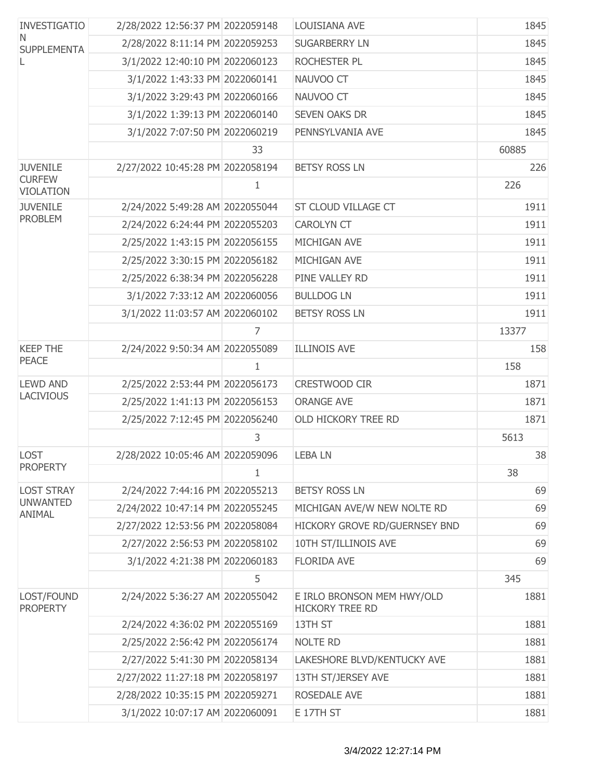| <b>INVESTIGATIO</b>               | 2/28/2022 12:56:37 PM 2022059148 |              | LOUISIANA AVE                                        | 1845  |
|-----------------------------------|----------------------------------|--------------|------------------------------------------------------|-------|
| N.<br><b>SUPPLEMENTA</b>          | 2/28/2022 8:11:14 PM 2022059253  |              | <b>SUGARBERRY LN</b>                                 | 1845  |
| L                                 | 3/1/2022 12:40:10 PM 2022060123  |              | ROCHESTER PL                                         | 1845  |
|                                   | 3/1/2022 1:43:33 PM 2022060141   |              | NAUVOO CT                                            | 1845  |
|                                   | 3/1/2022 3:29:43 PM 2022060166   |              | NAUVOO CT                                            | 1845  |
|                                   | 3/1/2022 1:39:13 PM 2022060140   |              | <b>SEVEN OAKS DR</b>                                 | 1845  |
|                                   | 3/1/2022 7:07:50 PM 2022060219   |              | PENNSYLVANIA AVE                                     | 1845  |
|                                   |                                  | 33           |                                                      | 60885 |
| <b>JUVENILE</b>                   | 2/27/2022 10:45:28 PM 2022058194 |              | <b>BETSY ROSS LN</b>                                 | 226   |
| <b>CURFEW</b><br><b>VIOLATION</b> |                                  | 1            |                                                      | 226   |
| <b>JUVENILE</b>                   | 2/24/2022 5:49:28 AM 2022055044  |              | ST CLOUD VILLAGE CT                                  | 1911  |
| <b>PROBLEM</b>                    | 2/24/2022 6:24:44 PM 2022055203  |              | <b>CAROLYN CT</b>                                    | 1911  |
|                                   | 2/25/2022 1:43:15 PM 2022056155  |              | MICHIGAN AVE                                         | 1911  |
|                                   | 2/25/2022 3:30:15 PM 2022056182  |              | MICHIGAN AVE                                         | 1911  |
|                                   | 2/25/2022 6:38:34 PM 2022056228  |              | PINE VALLEY RD                                       | 1911  |
|                                   | 3/1/2022 7:33:12 AM 2022060056   |              | <b>BULLDOG LN</b>                                    | 1911  |
|                                   | 3/1/2022 11:03:57 AM 2022060102  |              | <b>BETSY ROSS LN</b>                                 | 1911  |
|                                   |                                  | 7            |                                                      | 13377 |
| <b>KEEP THE</b>                   | 2/24/2022 9:50:34 AM 2022055089  |              | <b>ILLINOIS AVE</b>                                  | 158   |
| <b>PEACE</b>                      |                                  | 1            |                                                      | 158   |
| <b>LEWD AND</b>                   | 2/25/2022 2:53:44 PM 2022056173  |              | CRESTWOOD CIR                                        | 1871  |
| <b>LACIVIOUS</b>                  | 2/25/2022 1:41:13 PM 2022056153  |              | <b>ORANGE AVE</b>                                    | 1871  |
|                                   | 2/25/2022 7:12:45 PM 2022056240  |              | OLD HICKORY TREE RD                                  | 1871  |
|                                   |                                  | 3            |                                                      | 5613  |
| <b>LOST</b>                       | 2/28/2022 10:05:46 AM 2022059096 |              | <b>LEBALN</b>                                        | 38    |
| <b>PROPERTY</b>                   |                                  | $\mathbf{1}$ |                                                      | 38    |
| <b>LOST STRAY</b>                 | 2/24/2022 7:44:16 PM 2022055213  |              | <b>BETSY ROSS LN</b>                                 | 69    |
| <b>UNWANTED</b><br>ANIMAL         | 2/24/2022 10:47:14 PM 2022055245 |              | MICHIGAN AVE/W NEW NOLTE RD                          | 69    |
|                                   | 2/27/2022 12:53:56 PM 2022058084 |              | HICKORY GROVE RD/GUERNSEY BND                        | 69    |
|                                   | 2/27/2022 2:56:53 PM 2022058102  |              | 10TH ST/ILLINOIS AVE                                 | 69    |
|                                   | 3/1/2022 4:21:38 PM 2022060183   |              | <b>FLORIDA AVE</b>                                   | 69    |
|                                   |                                  | 5            |                                                      | 345   |
| LOST/FOUND<br><b>PROPERTY</b>     | 2/24/2022 5:36:27 AM 2022055042  |              | E IRLO BRONSON MEM HWY/OLD<br><b>HICKORY TREE RD</b> | 1881  |
|                                   | 2/24/2022 4:36:02 PM 2022055169  |              | 13TH ST                                              | 1881  |
|                                   | 2/25/2022 2:56:42 PM 2022056174  |              | <b>NOLTE RD</b>                                      | 1881  |
|                                   | 2/27/2022 5:41:30 PM 2022058134  |              | LAKESHORE BLVD/KENTUCKY AVE                          | 1881  |
|                                   | 2/27/2022 11:27:18 PM 2022058197 |              | 13TH ST/JERSEY AVE                                   | 1881  |
|                                   | 2/28/2022 10:35:15 PM 2022059271 |              | ROSEDALE AVE                                         | 1881  |
|                                   | 3/1/2022 10:07:17 AM 2022060091  |              | E 17TH ST                                            | 1881  |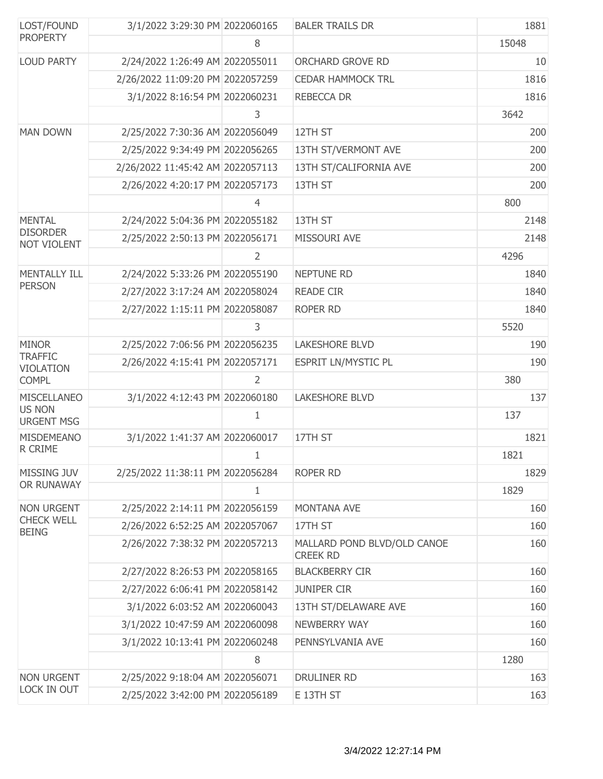| LOST/FOUND                                                               | 3/1/2022 3:29:30 PM 2022060165   |                | <b>BALER TRAILS DR</b>                         | 1881  |
|--------------------------------------------------------------------------|----------------------------------|----------------|------------------------------------------------|-------|
| <b>PROPERTY</b>                                                          |                                  | 8              |                                                | 15048 |
| <b>LOUD PARTY</b>                                                        | 2/24/2022 1:26:49 AM 2022055011  |                | ORCHARD GROVE RD                               | 10    |
|                                                                          | 2/26/2022 11:09:20 PM 2022057259 |                | <b>CEDAR HAMMOCK TRL</b>                       | 1816  |
|                                                                          | 3/1/2022 8:16:54 PM 2022060231   |                | REBECCA DR                                     | 1816  |
|                                                                          |                                  | 3              |                                                | 3642  |
| <b>MAN DOWN</b>                                                          | 2/25/2022 7:30:36 AM 2022056049  |                | 12TH ST                                        | 200   |
|                                                                          | 2/25/2022 9:34:49 PM 2022056265  |                | 13TH ST/VERMONT AVE                            | 200   |
|                                                                          | 2/26/2022 11:45:42 AM 2022057113 |                | 13TH ST/CALIFORNIA AVE                         | 200   |
|                                                                          | 2/26/2022 4:20:17 PM 2022057173  |                | 13TH ST                                        | 200   |
|                                                                          |                                  | 4              |                                                | 800   |
| <b>MENTAL</b>                                                            | 2/24/2022 5:04:36 PM 2022055182  |                | 13TH ST                                        | 2148  |
| <b>DISORDER</b><br><b>NOT VIOLENT</b>                                    | 2/25/2022 2:50:13 PM 2022056171  |                | MISSOURI AVE                                   | 2148  |
|                                                                          |                                  | $\overline{2}$ |                                                | 4296  |
| <b>MENTALLY ILL</b>                                                      | 2/24/2022 5:33:26 PM 2022055190  |                | <b>NEPTUNE RD</b>                              | 1840  |
| <b>PERSON</b>                                                            | 2/27/2022 3:17:24 AM 2022058024  |                | <b>READE CIR</b>                               | 1840  |
|                                                                          | 2/27/2022 1:15:11 PM 2022058087  |                | ROPER RD                                       | 1840  |
|                                                                          |                                  | 3              |                                                | 5520  |
| <b>MINOR</b>                                                             | 2/25/2022 7:06:56 PM 2022056235  |                | <b>LAKESHORE BLVD</b>                          | 190   |
| <b>TRAFFIC</b>                                                           |                                  |                | <b>ESPRIT LN/MYSTIC PL</b>                     | 190   |
| 2/26/2022 4:15:41 PM 2022057171<br><b>VIOLATION</b><br><b>COMPL</b><br>2 |                                  | 380            |                                                |       |
| <b>MISCELLANEO</b>                                                       | 3/1/2022 4:12:43 PM 2022060180   |                | <b>LAKESHORE BLVD</b>                          | 137   |
| <b>US NON</b><br><b>URGENT MSG</b>                                       |                                  | 1              |                                                | 137   |
| <b>MISDEMEANO</b>                                                        | 3/1/2022 1:41:37 AM 2022060017   |                | 17TH ST                                        | 1821  |
| R CRIME                                                                  |                                  | 1              |                                                | 1821  |
| MISSING JUV                                                              | 2/25/2022 11:38:11 PM 2022056284 |                | ROPER RD                                       | 1829  |
| OR RUNAWAY                                                               |                                  | $\mathbf{1}$   |                                                | 1829  |
| <b>NON URGENT</b>                                                        | 2/25/2022 2:14:11 PM 2022056159  |                | <b>MONTANA AVE</b>                             | 160   |
| <b>CHECK WELL</b><br><b>BEING</b>                                        | 2/26/2022 6:52:25 AM 2022057067  |                | 17TH ST                                        | 160   |
|                                                                          | 2/26/2022 7:38:32 PM 2022057213  |                | MALLARD POND BLVD/OLD CANOE<br><b>CREEK RD</b> | 160   |
|                                                                          | 2/27/2022 8:26:53 PM 2022058165  |                | <b>BLACKBERRY CIR</b>                          | 160   |
|                                                                          | 2/27/2022 6:06:41 PM 2022058142  |                | <b>JUNIPER CIR</b>                             | 160   |
|                                                                          | 3/1/2022 6:03:52 AM 2022060043   |                | 13TH ST/DELAWARE AVE                           | 160   |
|                                                                          | 3/1/2022 10:47:59 AM 2022060098  |                | NEWBERRY WAY                                   | 160   |
|                                                                          | 3/1/2022 10:13:41 PM 2022060248  |                | PENNSYLVANIA AVE                               | 160   |
|                                                                          |                                  | 8              |                                                | 1280  |
| <b>NON URGENT</b>                                                        | 2/25/2022 9:18:04 AM 2022056071  |                | DRULINER RD                                    | 163   |
| LOCK IN OUT                                                              | 2/25/2022 3:42:00 PM 2022056189  |                | E 13TH ST                                      | 163   |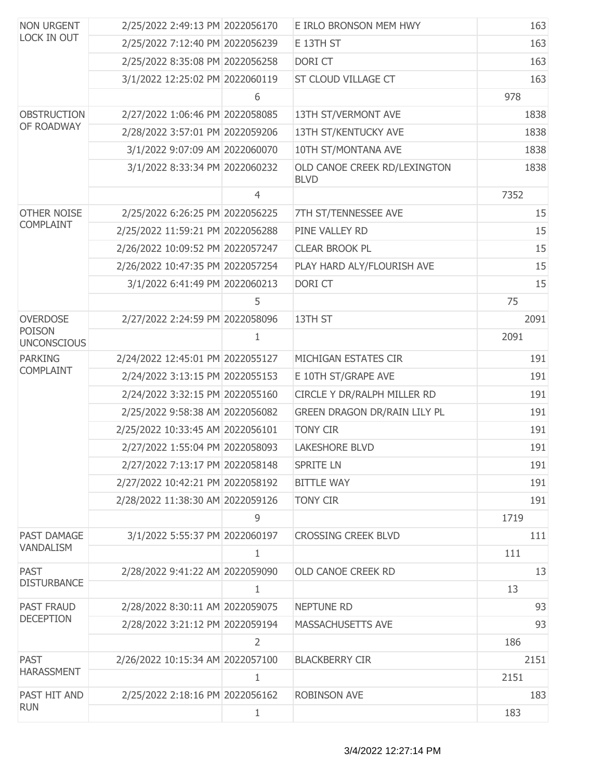| <b>NON URGENT</b>                                                                                 | 2/25/2022 2:49:13 PM 2022056170  |                | E IRLO BRONSON MEM HWY                      | 163  |
|---------------------------------------------------------------------------------------------------|----------------------------------|----------------|---------------------------------------------|------|
| LOCK IN OUT                                                                                       | 2/25/2022 7:12:40 PM 2022056239  |                | E 13TH ST                                   | 163  |
|                                                                                                   | 2/25/2022 8:35:08 PM 2022056258  |                | DORI CT                                     | 163  |
|                                                                                                   | 3/1/2022 12:25:02 PM 2022060119  |                | ST CLOUD VILLAGE CT                         | 163  |
|                                                                                                   |                                  | 6              |                                             | 978  |
| <b>OBSTRUCTION</b>                                                                                | 2/27/2022 1:06:46 PM 2022058085  |                | 13TH ST/VERMONT AVE                         | 1838 |
| OF ROADWAY                                                                                        | 2/28/2022 3:57:01 PM 2022059206  |                | 13TH ST/KENTUCKY AVE                        | 1838 |
|                                                                                                   | 3/1/2022 9:07:09 AM 2022060070   |                | 10TH ST/MONTANA AVE                         | 1838 |
|                                                                                                   | 3/1/2022 8:33:34 PM 2022060232   |                | OLD CANOE CREEK RD/LEXINGTON<br><b>BLVD</b> | 1838 |
|                                                                                                   |                                  | $\overline{4}$ |                                             | 7352 |
| <b>OTHER NOISE</b>                                                                                | 2/25/2022 6:26:25 PM 2022056225  |                | 7TH ST/TENNESSEE AVE                        | 15   |
| <b>COMPLAINT</b>                                                                                  | 2/25/2022 11:59:21 PM 2022056288 |                | PINE VALLEY RD                              | 15   |
|                                                                                                   | 2/26/2022 10:09:52 PM 2022057247 |                | <b>CLEAR BROOK PL</b>                       | 15   |
|                                                                                                   | 2/26/2022 10:47:35 PM 2022057254 |                | PLAY HARD ALY/FLOURISH AVE                  | 15   |
|                                                                                                   | 3/1/2022 6:41:49 PM 2022060213   |                | DORI CT                                     | 15   |
|                                                                                                   |                                  | 5              |                                             | 75   |
| <b>OVERDOSE</b>                                                                                   | 2/27/2022 2:24:59 PM 2022058096  |                | 13TH ST                                     | 2091 |
| <b>UNCONSCIOUS</b>                                                                                |                                  | 1              |                                             | 2091 |
| <b>PARKING</b><br><b>COMPLAINT</b>                                                                | 2/24/2022 12:45:01 PM 2022055127 |                | MICHIGAN ESTATES CIR                        | 191  |
|                                                                                                   | 2/24/2022 3:13:15 PM 2022055153  |                | E 10TH ST/GRAPE AVE                         | 191  |
|                                                                                                   | 2/24/2022 3:32:15 PM 2022055160  |                | CIRCLE Y DR/RALPH MILLER RD                 | 191  |
|                                                                                                   | 2/25/2022 9:58:38 AM 2022056082  |                | GREEN DRAGON DR/RAIN LILY PL                | 191  |
|                                                                                                   | 2/25/2022 10:33:45 AM 2022056101 |                | <b>TONY CIR</b>                             | 191  |
|                                                                                                   | 2/27/2022 1:55:04 PM 2022058093  |                | <b>LAKESHORE BLVD</b>                       | 191  |
|                                                                                                   | 2/27/2022 7:13:17 PM 2022058148  |                | <b>SPRITE LN</b>                            | 191  |
|                                                                                                   | 2/27/2022 10:42:21 PM 2022058192 |                | <b>BITTLE WAY</b>                           | 191  |
|                                                                                                   | 2/28/2022 11:38:30 AM 2022059126 |                | <b>TONY CIR</b>                             | 191  |
|                                                                                                   |                                  | 9              |                                             | 1719 |
| PAST DAMAGE                                                                                       | 3/1/2022 5:55:37 PM 2022060197   |                | <b>CROSSING CREEK BLVD</b>                  | 111  |
|                                                                                                   |                                  | 1              |                                             | 111  |
| <b>PAST</b>                                                                                       | 2/28/2022 9:41:22 AM 2022059090  |                | OLD CANOE CREEK RD                          | 13   |
| <b>DISTURBANCE</b>                                                                                |                                  | 1              |                                             | 13   |
| <b>PAST FRAUD</b>                                                                                 | 2/28/2022 8:30:11 AM 2022059075  |                | <b>NEPTUNE RD</b>                           | 93   |
|                                                                                                   | 2/28/2022 3:21:12 PM 2022059194  |                | MASSACHUSETTS AVE                           | 93   |
|                                                                                                   |                                  | $\overline{2}$ |                                             | 186  |
| <b>PAST</b>                                                                                       | 2/26/2022 10:15:34 AM 2022057100 |                | <b>BLACKBERRY CIR</b>                       | 2151 |
| <b>POISON</b><br>VANDALISM<br><b>DECEPTION</b><br><b>HARASSMENT</b><br>PAST HIT AND<br><b>RUN</b> |                                  | $\mathbf 1$    |                                             | 2151 |
|                                                                                                   | 2/25/2022 2:18:16 PM 2022056162  |                | <b>ROBINSON AVE</b>                         | 183  |
|                                                                                                   |                                  | 1              |                                             | 183  |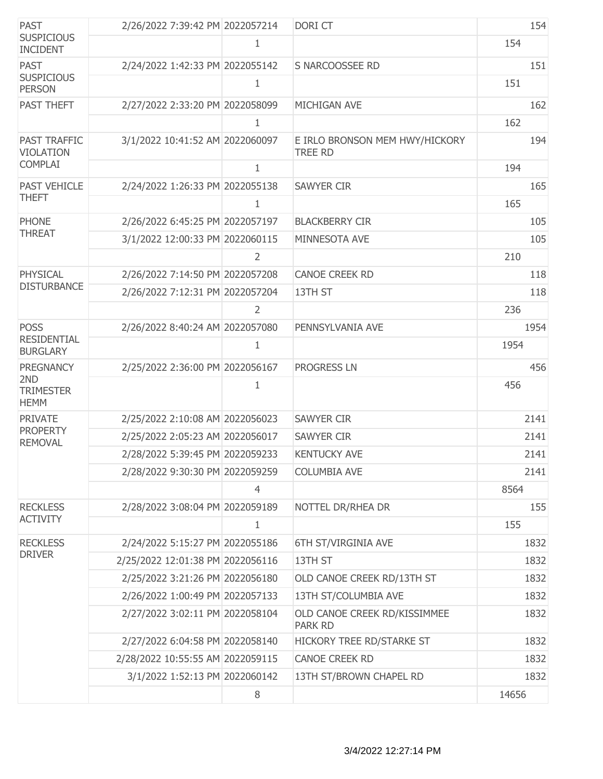| <b>PAST</b>                             | 2/26/2022 7:39:42 PM 2022057214  |                | DORI CT                                          | 154   |
|-----------------------------------------|----------------------------------|----------------|--------------------------------------------------|-------|
| <b>SUSPICIOUS</b><br><b>INCIDENT</b>    |                                  | 1              |                                                  | 154   |
| <b>PAST</b>                             | 2/24/2022 1:42:33 PM 2022055142  |                | S NARCOOSSEE RD                                  | 151   |
| <b>SUSPICIOUS</b><br><b>PERSON</b>      |                                  | 1              |                                                  | 151   |
| PAST THEFT                              | 2/27/2022 2:33:20 PM 2022058099  |                | MICHIGAN AVE                                     | 162   |
|                                         |                                  | 1              |                                                  | 162   |
| <b>PAST TRAFFIC</b><br><b>VIOLATION</b> | 3/1/2022 10:41:52 AM 2022060097  |                | E IRLO BRONSON MEM HWY/HICKORY<br><b>TREE RD</b> | 194   |
| <b>COMPLAI</b>                          |                                  | $\mathbf{1}$   |                                                  | 194   |
| <b>PAST VEHICLE</b>                     | 2/24/2022 1:26:33 PM 2022055138  |                | <b>SAWYER CIR</b>                                | 165   |
| <b>THEFT</b>                            |                                  | 1              |                                                  | 165   |
| <b>PHONE</b>                            | 2/26/2022 6:45:25 PM 2022057197  |                | <b>BLACKBERRY CIR</b>                            | 105   |
| <b>THREAT</b>                           | 3/1/2022 12:00:33 PM 2022060115  |                | MINNESOTA AVE                                    | 105   |
|                                         |                                  | $\overline{2}$ |                                                  | 210   |
| <b>PHYSICAL</b>                         | 2/26/2022 7:14:50 PM 2022057208  |                | <b>CANOE CREEK RD</b>                            | 118   |
| <b>DISTURBANCE</b>                      | 2/26/2022 7:12:31 PM 2022057204  |                | 13TH ST                                          | 118   |
|                                         |                                  | 2              |                                                  | 236   |
| <b>POSS</b>                             | 2/26/2022 8:40:24 AM 2022057080  |                | PENNSYLVANIA AVE                                 | 1954  |
| <b>RESIDENTIAL</b><br><b>BURGLARY</b>   |                                  | 1              |                                                  | 1954  |
| <b>PREGNANCY</b>                        | 2/25/2022 2:36:00 PM 2022056167  |                | <b>PROGRESS LN</b>                               | 456   |
| 2ND<br><b>TRIMESTER</b><br><b>HEMM</b>  |                                  | 1              |                                                  | 456   |
| <b>PRIVATE</b>                          | 2/25/2022 2:10:08 AM 2022056023  |                | <b>SAWYER CIR</b>                                | 2141  |
| <b>PROPERTY</b><br><b>REMOVAL</b>       | 2/25/2022 2:05:23 AM 2022056017  |                | <b>SAWYER CIR</b>                                | 2141  |
|                                         | 2/28/2022 5:39:45 PM 2022059233  |                | <b>KENTUCKY AVE</b>                              | 2141  |
|                                         | 2/28/2022 9:30:30 PM 2022059259  |                | <b>COLUMBIA AVE</b>                              | 2141  |
|                                         |                                  | $\overline{4}$ |                                                  | 8564  |
| <b>RECKLESS</b>                         | 2/28/2022 3:08:04 PM 2022059189  |                | NOTTEL DR/RHEA DR                                | 155   |
| <b>ACTIVITY</b>                         |                                  | 1              |                                                  | 155   |
| <b>RECKLESS</b>                         | 2/24/2022 5:15:27 PM 2022055186  |                | 6TH ST/VIRGINIA AVE                              | 1832  |
| <b>DRIVER</b>                           | 2/25/2022 12:01:38 PM 2022056116 |                | 13TH ST                                          | 1832  |
|                                         | 2/25/2022 3:21:26 PM 2022056180  |                | OLD CANOE CREEK RD/13TH ST                       | 1832  |
|                                         | 2/26/2022 1:00:49 PM 2022057133  |                | 13TH ST/COLUMBIA AVE                             | 1832  |
|                                         | 2/27/2022 3:02:11 PM 2022058104  |                | OLD CANOE CREEK RD/KISSIMMEE<br><b>PARK RD</b>   | 1832  |
|                                         | 2/27/2022 6:04:58 PM 2022058140  |                | HICKORY TREE RD/STARKE ST                        | 1832  |
|                                         | 2/28/2022 10:55:55 AM 2022059115 |                | <b>CANOE CREEK RD</b>                            | 1832  |
|                                         | 3/1/2022 1:52:13 PM 2022060142   |                | 13TH ST/BROWN CHAPEL RD                          | 1832  |
|                                         |                                  | 8              |                                                  | 14656 |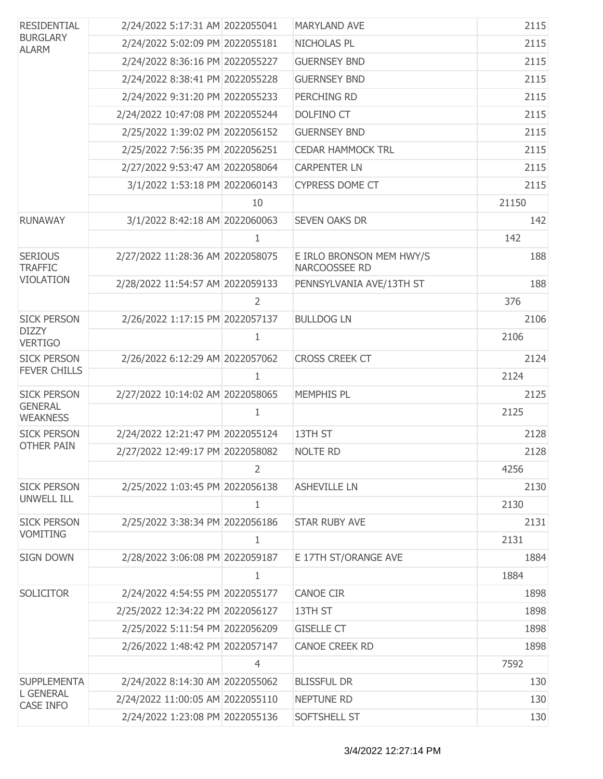| <b>RESIDENTIAL</b>                                                                                                                                                                                                                                                                                                                                                                                                                                                                                                                                                                                                                                                                                                                                                                                                                                                                                                                                                                                                                                                                                                                                                                                                                                                                                                     | 2/24/2022 5:17:31 AM 2022055041 |                | <b>MARYLAND AVE</b>                       | 2115  |
|------------------------------------------------------------------------------------------------------------------------------------------------------------------------------------------------------------------------------------------------------------------------------------------------------------------------------------------------------------------------------------------------------------------------------------------------------------------------------------------------------------------------------------------------------------------------------------------------------------------------------------------------------------------------------------------------------------------------------------------------------------------------------------------------------------------------------------------------------------------------------------------------------------------------------------------------------------------------------------------------------------------------------------------------------------------------------------------------------------------------------------------------------------------------------------------------------------------------------------------------------------------------------------------------------------------------|---------------------------------|----------------|-------------------------------------------|-------|
| <b>BURGLARY</b><br><b>ALARM</b>                                                                                                                                                                                                                                                                                                                                                                                                                                                                                                                                                                                                                                                                                                                                                                                                                                                                                                                                                                                                                                                                                                                                                                                                                                                                                        | 2/24/2022 5:02:09 PM 2022055181 |                | NICHOLAS PL                               | 2115  |
|                                                                                                                                                                                                                                                                                                                                                                                                                                                                                                                                                                                                                                                                                                                                                                                                                                                                                                                                                                                                                                                                                                                                                                                                                                                                                                                        | 2/24/2022 8:36:16 PM 2022055227 |                | <b>GUERNSEY BND</b>                       | 2115  |
|                                                                                                                                                                                                                                                                                                                                                                                                                                                                                                                                                                                                                                                                                                                                                                                                                                                                                                                                                                                                                                                                                                                                                                                                                                                                                                                        | 2/24/2022 8:38:41 PM 2022055228 |                | <b>GUERNSEY BND</b>                       | 2115  |
|                                                                                                                                                                                                                                                                                                                                                                                                                                                                                                                                                                                                                                                                                                                                                                                                                                                                                                                                                                                                                                                                                                                                                                                                                                                                                                                        |                                 |                | PERCHING RD                               | 2115  |
|                                                                                                                                                                                                                                                                                                                                                                                                                                                                                                                                                                                                                                                                                                                                                                                                                                                                                                                                                                                                                                                                                                                                                                                                                                                                                                                        |                                 |                | DOLFINO CT                                | 2115  |
|                                                                                                                                                                                                                                                                                                                                                                                                                                                                                                                                                                                                                                                                                                                                                                                                                                                                                                                                                                                                                                                                                                                                                                                                                                                                                                                        |                                 |                | <b>GUERNSEY BND</b>                       | 2115  |
|                                                                                                                                                                                                                                                                                                                                                                                                                                                                                                                                                                                                                                                                                                                                                                                                                                                                                                                                                                                                                                                                                                                                                                                                                                                                                                                        |                                 |                | <b>CEDAR HAMMOCK TRL</b>                  | 2115  |
|                                                                                                                                                                                                                                                                                                                                                                                                                                                                                                                                                                                                                                                                                                                                                                                                                                                                                                                                                                                                                                                                                                                                                                                                                                                                                                                        |                                 |                | <b>CARPENTER LN</b>                       | 2115  |
|                                                                                                                                                                                                                                                                                                                                                                                                                                                                                                                                                                                                                                                                                                                                                                                                                                                                                                                                                                                                                                                                                                                                                                                                                                                                                                                        |                                 |                | <b>CYPRESS DOME CT</b>                    | 2115  |
|                                                                                                                                                                                                                                                                                                                                                                                                                                                                                                                                                                                                                                                                                                                                                                                                                                                                                                                                                                                                                                                                                                                                                                                                                                                                                                                        |                                 | 10             |                                           | 21150 |
| <b>RUNAWAY</b>                                                                                                                                                                                                                                                                                                                                                                                                                                                                                                                                                                                                                                                                                                                                                                                                                                                                                                                                                                                                                                                                                                                                                                                                                                                                                                         |                                 |                | <b>SEVEN OAKS DR</b>                      | 142   |
|                                                                                                                                                                                                                                                                                                                                                                                                                                                                                                                                                                                                                                                                                                                                                                                                                                                                                                                                                                                                                                                                                                                                                                                                                                                                                                                        |                                 | $\mathbf{1}$   |                                           | 142   |
| <b>SERIOUS</b><br><b>TRAFFIC</b>                                                                                                                                                                                                                                                                                                                                                                                                                                                                                                                                                                                                                                                                                                                                                                                                                                                                                                                                                                                                                                                                                                                                                                                                                                                                                       |                                 |                | E IRLO BRONSON MEM HWY/S<br>NARCOOSSEE RD | 188   |
|                                                                                                                                                                                                                                                                                                                                                                                                                                                                                                                                                                                                                                                                                                                                                                                                                                                                                                                                                                                                                                                                                                                                                                                                                                                                                                                        |                                 |                | PENNSYLVANIA AVE/13TH ST                  | 188   |
|                                                                                                                                                                                                                                                                                                                                                                                                                                                                                                                                                                                                                                                                                                                                                                                                                                                                                                                                                                                                                                                                                                                                                                                                                                                                                                                        |                                 | $\overline{2}$ |                                           | 376   |
| <b>SICK PERSON</b>                                                                                                                                                                                                                                                                                                                                                                                                                                                                                                                                                                                                                                                                                                                                                                                                                                                                                                                                                                                                                                                                                                                                                                                                                                                                                                     |                                 |                | <b>BULLDOG LN</b>                         | 2106  |
| <b>VERTIGO</b>                                                                                                                                                                                                                                                                                                                                                                                                                                                                                                                                                                                                                                                                                                                                                                                                                                                                                                                                                                                                                                                                                                                                                                                                                                                                                                         |                                 | 1              |                                           | 2106  |
| <b>SICK PERSON</b>                                                                                                                                                                                                                                                                                                                                                                                                                                                                                                                                                                                                                                                                                                                                                                                                                                                                                                                                                                                                                                                                                                                                                                                                                                                                                                     |                                 |                | <b>CROSS CREEK CT</b>                     | 2124  |
|                                                                                                                                                                                                                                                                                                                                                                                                                                                                                                                                                                                                                                                                                                                                                                                                                                                                                                                                                                                                                                                                                                                                                                                                                                                                                                                        |                                 | 1              |                                           | 2124  |
| <b>SICK PERSON</b>                                                                                                                                                                                                                                                                                                                                                                                                                                                                                                                                                                                                                                                                                                                                                                                                                                                                                                                                                                                                                                                                                                                                                                                                                                                                                                     |                                 |                | <b>MEMPHIS PL</b>                         | 2125  |
| <b>WEAKNESS</b>                                                                                                                                                                                                                                                                                                                                                                                                                                                                                                                                                                                                                                                                                                                                                                                                                                                                                                                                                                                                                                                                                                                                                                                                                                                                                                        |                                 | 1              |                                           | 2125  |
| <b>SICK PERSON</b>                                                                                                                                                                                                                                                                                                                                                                                                                                                                                                                                                                                                                                                                                                                                                                                                                                                                                                                                                                                                                                                                                                                                                                                                                                                                                                     |                                 |                | 13TH ST                                   | 2128  |
|                                                                                                                                                                                                                                                                                                                                                                                                                                                                                                                                                                                                                                                                                                                                                                                                                                                                                                                                                                                                                                                                                                                                                                                                                                                                                                                        |                                 |                | <b>NOLTE RD</b>                           | 2128  |
|                                                                                                                                                                                                                                                                                                                                                                                                                                                                                                                                                                                                                                                                                                                                                                                                                                                                                                                                                                                                                                                                                                                                                                                                                                                                                                                        |                                 | $\overline{2}$ |                                           | 4256  |
| <b>SICK PERSON</b>                                                                                                                                                                                                                                                                                                                                                                                                                                                                                                                                                                                                                                                                                                                                                                                                                                                                                                                                                                                                                                                                                                                                                                                                                                                                                                     |                                 |                | <b>ASHEVILLE LN</b>                       | 2130  |
|                                                                                                                                                                                                                                                                                                                                                                                                                                                                                                                                                                                                                                                                                                                                                                                                                                                                                                                                                                                                                                                                                                                                                                                                                                                                                                                        |                                 | 1              |                                           | 2130  |
| <b>SICK PERSON</b>                                                                                                                                                                                                                                                                                                                                                                                                                                                                                                                                                                                                                                                                                                                                                                                                                                                                                                                                                                                                                                                                                                                                                                                                                                                                                                     |                                 |                | <b>STAR RUBY AVE</b>                      | 2131  |
| 2/24/2022 9:31:20 PM 2022055233<br>2/24/2022 10:47:08 PM 2022055244<br>2/25/2022 1:39:02 PM 2022056152<br>2/25/2022 7:56:35 PM 2022056251<br>2/27/2022 9:53:47 AM 2022058064<br>3/1/2022 1:53:18 PM 2022060143<br>3/1/2022 8:42:18 AM 2022060063<br>2/27/2022 11:28:36 AM 2022058075<br><b>VIOLATION</b><br>2/28/2022 11:54:57 AM 2022059133<br>2/26/2022 1:17:15 PM 2022057137<br><b>DIZZY</b><br>2/26/2022 6:12:29 AM 2022057062<br><b>FEVER CHILLS</b><br>2/27/2022 10:14:02 AM 2022058065<br><b>GENERAL</b><br>2/24/2022 12:21:47 PM 2022055124<br><b>OTHER PAIN</b><br>2/27/2022 12:49:17 PM 2022058082<br>2/25/2022 1:03:45 PM 2022056138<br><b>UNWELL ILL</b><br>2/25/2022 3:38:34 PM 2022056186<br><b>VOMITING</b><br>1<br>2/28/2022 3:06:08 PM 2022059187<br><b>SIGN DOWN</b><br>E 17TH ST/ORANGE AVE<br>1<br><b>SOLICITOR</b><br>2/24/2022 4:54:55 PM 2022055177<br><b>CANOE CIR</b><br>2/25/2022 12:34:22 PM 2022056127<br>13TH ST<br>2/25/2022 5:11:54 PM 2022056209<br><b>GISELLE CT</b><br>2/26/2022 1:48:42 PM 2022057147<br><b>CANOE CREEK RD</b><br>$\overline{4}$<br>2/24/2022 8:14:30 AM 2022055062<br><b>BLISSFUL DR</b><br><b>SUPPLEMENTA</b><br><b>L GENERAL</b><br>2/24/2022 11:00:05 AM 2022055110<br><b>NEPTUNE RD</b><br><b>CASE INFO</b><br>2/24/2022 1:23:08 PM 2022055136<br>SOFTSHELL ST | 2131                            |                |                                           |       |
|                                                                                                                                                                                                                                                                                                                                                                                                                                                                                                                                                                                                                                                                                                                                                                                                                                                                                                                                                                                                                                                                                                                                                                                                                                                                                                                        |                                 |                |                                           | 1884  |
|                                                                                                                                                                                                                                                                                                                                                                                                                                                                                                                                                                                                                                                                                                                                                                                                                                                                                                                                                                                                                                                                                                                                                                                                                                                                                                                        |                                 |                |                                           | 1884  |
|                                                                                                                                                                                                                                                                                                                                                                                                                                                                                                                                                                                                                                                                                                                                                                                                                                                                                                                                                                                                                                                                                                                                                                                                                                                                                                                        |                                 |                |                                           | 1898  |
|                                                                                                                                                                                                                                                                                                                                                                                                                                                                                                                                                                                                                                                                                                                                                                                                                                                                                                                                                                                                                                                                                                                                                                                                                                                                                                                        |                                 |                |                                           | 1898  |
|                                                                                                                                                                                                                                                                                                                                                                                                                                                                                                                                                                                                                                                                                                                                                                                                                                                                                                                                                                                                                                                                                                                                                                                                                                                                                                                        |                                 |                |                                           | 1898  |
|                                                                                                                                                                                                                                                                                                                                                                                                                                                                                                                                                                                                                                                                                                                                                                                                                                                                                                                                                                                                                                                                                                                                                                                                                                                                                                                        |                                 |                |                                           | 1898  |
|                                                                                                                                                                                                                                                                                                                                                                                                                                                                                                                                                                                                                                                                                                                                                                                                                                                                                                                                                                                                                                                                                                                                                                                                                                                                                                                        |                                 |                |                                           | 7592  |
|                                                                                                                                                                                                                                                                                                                                                                                                                                                                                                                                                                                                                                                                                                                                                                                                                                                                                                                                                                                                                                                                                                                                                                                                                                                                                                                        |                                 |                |                                           | 130   |
|                                                                                                                                                                                                                                                                                                                                                                                                                                                                                                                                                                                                                                                                                                                                                                                                                                                                                                                                                                                                                                                                                                                                                                                                                                                                                                                        |                                 |                |                                           | 130   |
|                                                                                                                                                                                                                                                                                                                                                                                                                                                                                                                                                                                                                                                                                                                                                                                                                                                                                                                                                                                                                                                                                                                                                                                                                                                                                                                        |                                 |                |                                           | 130   |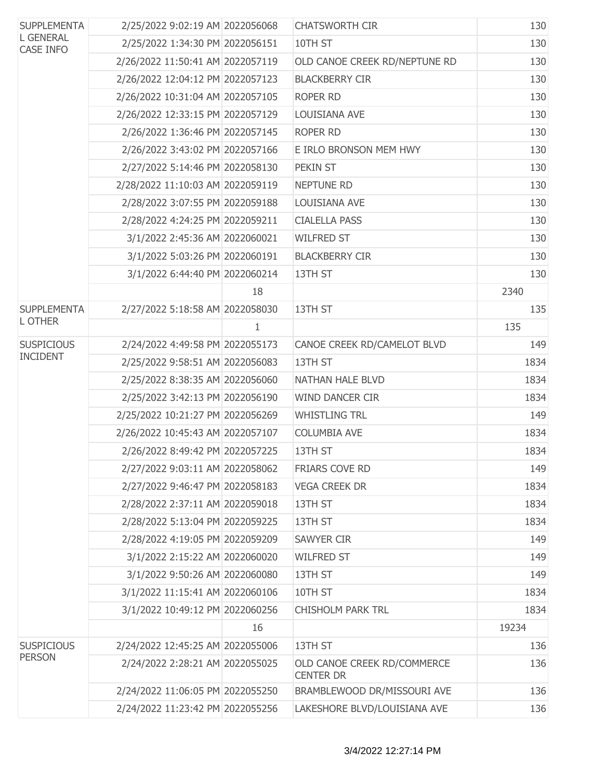| <b>SUPPLEMENTA</b><br><b>L GENERAL</b><br><b>CASE INFO</b> | 2/25/2022 9:02:19 AM 2022056068  |              | <b>CHATSWORTH CIR</b>                           | 130   |
|------------------------------------------------------------|----------------------------------|--------------|-------------------------------------------------|-------|
|                                                            | 2/25/2022 1:34:30 PM 2022056151  |              | 10TH ST                                         | 130   |
|                                                            | 2/26/2022 11:50:41 AM 2022057119 |              | OLD CANOE CREEK RD/NEPTUNE RD                   | 130   |
|                                                            | 2/26/2022 12:04:12 PM 2022057123 |              | <b>BLACKBERRY CIR</b>                           | 130   |
|                                                            | 2/26/2022 10:31:04 AM 2022057105 |              | ROPER RD                                        | 130   |
|                                                            | 2/26/2022 12:33:15 PM 2022057129 |              | LOUISIANA AVE                                   | 130   |
|                                                            | 2/26/2022 1:36:46 PM 2022057145  |              | <b>ROPER RD</b>                                 | 130   |
|                                                            | 2/26/2022 3:43:02 PM 2022057166  |              | E IRLO BRONSON MEM HWY                          | 130   |
|                                                            | 2/27/2022 5:14:46 PM 2022058130  |              | PEKIN ST                                        | 130   |
|                                                            | 2/28/2022 11:10:03 AM 2022059119 |              | <b>NEPTUNE RD</b>                               | 130   |
|                                                            | 2/28/2022 3:07:55 PM 2022059188  |              | LOUISIANA AVE                                   | 130   |
|                                                            | 2/28/2022 4:24:25 PM 2022059211  |              | <b>CIALELLA PASS</b>                            | 130   |
|                                                            | 3/1/2022 2:45:36 AM 2022060021   |              | <b>WILFRED ST</b>                               | 130   |
|                                                            | 3/1/2022 5:03:26 PM 2022060191   |              | <b>BLACKBERRY CIR</b>                           | 130   |
|                                                            | 3/1/2022 6:44:40 PM 2022060214   |              | 13TH ST                                         | 130   |
|                                                            |                                  | 18           |                                                 | 2340  |
| <b>SUPPLEMENTA</b>                                         | 2/27/2022 5:18:58 AM 2022058030  |              | 13TH ST                                         | 135   |
| L OTHER                                                    |                                  | $\mathbf{1}$ |                                                 | 135   |
| <b>SUSPICIOUS</b>                                          | 2/24/2022 4:49:58 PM 2022055173  |              | CANOE CREEK RD/CAMELOT BLVD                     | 149   |
| <b>INCIDENT</b>                                            | 2/25/2022 9:58:51 AM 2022056083  |              | 13TH ST                                         | 1834  |
|                                                            | 2/25/2022 8:38:35 AM 2022056060  |              | NATHAN HALE BLVD                                | 1834  |
|                                                            | 2/25/2022 3:42:13 PM 2022056190  |              | <b>WIND DANCER CIR</b>                          | 1834  |
|                                                            | 2/25/2022 10:21:27 PM 2022056269 |              | <b>WHISTLING TRL</b>                            | 149   |
|                                                            | 2/26/2022 10:45:43 AM 2022057107 |              | <b>COLUMBIA AVE</b>                             | 1834  |
|                                                            | 2/26/2022 8:49:42 PM 2022057225  |              | 13TH ST                                         | 1834  |
|                                                            | 2/27/2022 9:03:11 AM 2022058062  |              | FRIARS COVE RD                                  | 149   |
|                                                            | 2/27/2022 9:46:47 PM 2022058183  |              | <b>VEGA CREEK DR</b>                            | 1834  |
|                                                            | 2/28/2022 2:37:11 AM 2022059018  |              | 13TH ST                                         | 1834  |
|                                                            | 2/28/2022 5:13:04 PM 2022059225  |              | 13TH ST                                         | 1834  |
|                                                            | 2/28/2022 4:19:05 PM 2022059209  |              | <b>SAWYER CIR</b>                               | 149   |
|                                                            | 3/1/2022 2:15:22 AM 2022060020   |              | <b>WILFRED ST</b>                               | 149   |
|                                                            | 3/1/2022 9:50:26 AM 2022060080   |              | 13TH ST                                         | 149   |
|                                                            | 3/1/2022 11:15:41 AM 2022060106  |              | 10TH ST                                         | 1834  |
|                                                            | 3/1/2022 10:49:12 PM 2022060256  |              | <b>CHISHOLM PARK TRL</b>                        | 1834  |
|                                                            |                                  | 16           |                                                 | 19234 |
| <b>SUSPICIOUS</b>                                          | 2/24/2022 12:45:25 AM 2022055006 |              | 13TH ST                                         | 136   |
| <b>PERSON</b>                                              | 2/24/2022 2:28:21 AM 2022055025  |              | OLD CANOE CREEK RD/COMMERCE<br><b>CENTER DR</b> | 136   |
|                                                            | 2/24/2022 11:06:05 PM 2022055250 |              | BRAMBLEWOOD DR/MISSOURI AVE                     | 136   |
|                                                            | 2/24/2022 11:23:42 PM 2022055256 |              | LAKESHORE BLVD/LOUISIANA AVE                    | 136   |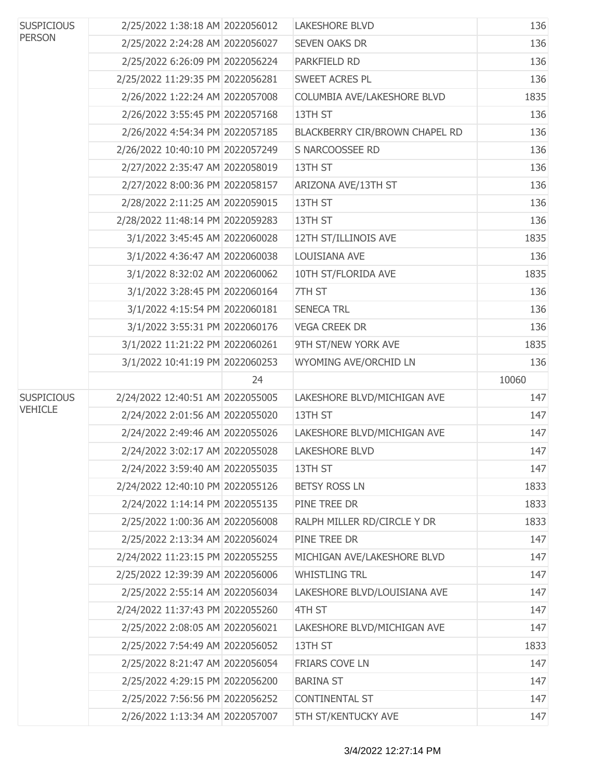| <b>SUSPICIOUS</b><br><b>PERSON</b> | 2/25/2022 1:38:18 AM 2022056012  |    | <b>LAKESHORE BLVD</b>          | 136   |
|------------------------------------|----------------------------------|----|--------------------------------|-------|
|                                    | 2/25/2022 2:24:28 AM 2022056027  |    | <b>SEVEN OAKS DR</b>           | 136   |
|                                    | 2/25/2022 6:26:09 PM 2022056224  |    | PARKFIELD RD                   | 136   |
|                                    | 2/25/2022 11:29:35 PM 2022056281 |    | SWEET ACRES PL                 | 136   |
|                                    | 2/26/2022 1:22:24 AM 2022057008  |    | COLUMBIA AVE/LAKESHORE BLVD    | 1835  |
|                                    | 2/26/2022 3:55:45 PM 2022057168  |    | 13TH ST                        | 136   |
|                                    | 2/26/2022 4:54:34 PM 2022057185  |    | BLACKBERRY CIR/BROWN CHAPEL RD | 136   |
|                                    | 2/26/2022 10:40:10 PM 2022057249 |    | S NARCOOSSEE RD                | 136   |
|                                    | 2/27/2022 2:35:47 AM 2022058019  |    | 13TH ST                        | 136   |
|                                    | 2/27/2022 8:00:36 PM 2022058157  |    | ARIZONA AVE/13TH ST            | 136   |
|                                    | 2/28/2022 2:11:25 AM 2022059015  |    | 13TH ST                        | 136   |
|                                    | 2/28/2022 11:48:14 PM 2022059283 |    | 13TH ST                        | 136   |
|                                    | 3/1/2022 3:45:45 AM 2022060028   |    | 12TH ST/ILLINOIS AVE           | 1835  |
|                                    | 3/1/2022 4:36:47 AM 2022060038   |    | LOUISIANA AVE                  | 136   |
|                                    | 3/1/2022 8:32:02 AM 2022060062   |    | 10TH ST/FLORIDA AVE            | 1835  |
|                                    | 3/1/2022 3:28:45 PM 2022060164   |    | 7TH ST                         | 136   |
|                                    | 3/1/2022 4:15:54 PM 2022060181   |    | <b>SENECA TRL</b>              | 136   |
|                                    | 3/1/2022 3:55:31 PM 2022060176   |    | <b>VEGA CREEK DR</b>           | 136   |
|                                    | 3/1/2022 11:21:22 PM 2022060261  |    | 9TH ST/NEW YORK AVE            | 1835  |
|                                    | 3/1/2022 10:41:19 PM 2022060253  |    | WYOMING AVE/ORCHID LN          | 136   |
|                                    |                                  | 24 |                                | 10060 |
| <b>SUSPICIOUS</b>                  | 2/24/2022 12:40:51 AM 2022055005 |    | LAKESHORE BLVD/MICHIGAN AVE    | 147   |
| <b>VEHICLE</b>                     | 2/24/2022 2:01:56 AM 2022055020  |    | 13TH ST                        | 147   |
|                                    | 2/24/2022 2:49:46 AM 2022055026  |    | LAKESHORE BLVD/MICHIGAN AVE    | 147   |
|                                    | 2/24/2022 3:02:17 AM 2022055028  |    | <b>LAKESHORE BLVD</b>          | 147   |
|                                    | 2/24/2022 3:59:40 AM 2022055035  |    | 13TH ST                        | 147   |
|                                    | 2/24/2022 12:40:10 PM 2022055126 |    | <b>BETSY ROSS LN</b>           | 1833  |
|                                    | 2/24/2022 1:14:14 PM 2022055135  |    | PINE TREE DR                   | 1833  |
|                                    | 2/25/2022 1:00:36 AM 2022056008  |    | RALPH MILLER RD/CIRCLE Y DR    | 1833  |
|                                    | 2/25/2022 2:13:34 AM 2022056024  |    | PINE TREE DR                   | 147   |
|                                    | 2/24/2022 11:23:15 PM 2022055255 |    | MICHIGAN AVE/LAKESHORE BLVD    | 147   |
|                                    | 2/25/2022 12:39:39 AM 2022056006 |    | <b>WHISTLING TRL</b>           | 147   |
|                                    | 2/25/2022 2:55:14 AM 2022056034  |    | LAKESHORE BLVD/LOUISIANA AVE   | 147   |
|                                    | 2/24/2022 11:37:43 PM 2022055260 |    | 4TH ST                         | 147   |
|                                    | 2/25/2022 2:08:05 AM 2022056021  |    | LAKESHORE BLVD/MICHIGAN AVE    | 147   |
|                                    | 2/25/2022 7:54:49 AM 2022056052  |    | 13TH ST                        | 1833  |
|                                    | 2/25/2022 8:21:47 AM 2022056054  |    | <b>FRIARS COVE LN</b>          | 147   |
|                                    | 2/25/2022 4:29:15 PM 2022056200  |    | <b>BARINA ST</b>               | 147   |
|                                    | 2/25/2022 7:56:56 PM 2022056252  |    | <b>CONTINENTAL ST</b>          | 147   |
|                                    | 2/26/2022 1:13:34 AM 2022057007  |    | 5TH ST/KENTUCKY AVE            | 147   |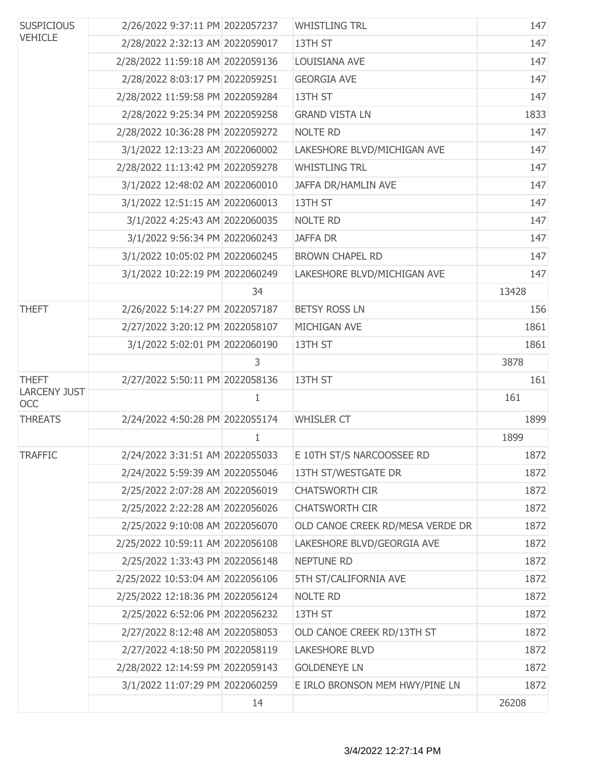| <b>SUSPICIOUS</b><br><b>VEHICLE</b> | 2/26/2022 9:37:11 PM 2022057237  |    | <b>WHISTLING TRL</b>             | 147   |
|-------------------------------------|----------------------------------|----|----------------------------------|-------|
|                                     | 2/28/2022 2:32:13 AM 2022059017  |    | 13TH ST                          | 147   |
|                                     | 2/28/2022 11:59:18 AM 2022059136 |    | LOUISIANA AVE                    | 147   |
|                                     | 2/28/2022 8:03:17 PM 2022059251  |    | <b>GEORGIA AVE</b>               | 147   |
|                                     | 2/28/2022 11:59:58 PM 2022059284 |    | 13TH ST                          | 147   |
|                                     | 2/28/2022 9:25:34 PM 2022059258  |    | <b>GRAND VISTA LN</b>            | 1833  |
|                                     | 2/28/2022 10:36:28 PM 2022059272 |    | <b>NOLTE RD</b>                  | 147   |
|                                     | 3/1/2022 12:13:23 AM 2022060002  |    | LAKESHORE BLVD/MICHIGAN AVE      | 147   |
|                                     | 2/28/2022 11:13:42 PM 2022059278 |    | <b>WHISTLING TRL</b>             | 147   |
|                                     | 3/1/2022 12:48:02 AM 2022060010  |    | JAFFA DR/HAMLIN AVE              | 147   |
|                                     | 3/1/2022 12:51:15 AM 2022060013  |    | 13TH ST                          | 147   |
|                                     | 3/1/2022 4:25:43 AM 2022060035   |    | <b>NOLTE RD</b>                  | 147   |
|                                     | 3/1/2022 9:56:34 PM 2022060243   |    | <b>JAFFA DR</b>                  | 147   |
|                                     | 3/1/2022 10:05:02 PM 2022060245  |    | <b>BROWN CHAPEL RD</b>           | 147   |
|                                     | 3/1/2022 10:22:19 PM 2022060249  |    | LAKESHORE BLVD/MICHIGAN AVE      | 147   |
|                                     |                                  | 34 |                                  | 13428 |
| <b>THEFT</b>                        | 2/26/2022 5:14:27 PM 2022057187  |    | <b>BETSY ROSS LN</b>             | 156   |
|                                     | 2/27/2022 3:20:12 PM 2022058107  |    | MICHIGAN AVE                     | 1861  |
|                                     | 3/1/2022 5:02:01 PM 2022060190   |    | 13TH ST                          | 1861  |
|                                     |                                  | 3  |                                  | 3878  |
| <b>THEFT</b>                        | 2/27/2022 5:50:11 PM 2022058136  |    | 13TH ST                          | 161   |
| <b>LARCENY JUST</b><br>OCC          |                                  | 1  |                                  | 161   |
| <b>THREATS</b>                      | 2/24/2022 4:50:28 PM 2022055174  |    | <b>WHISLER CT</b>                | 1899  |
|                                     |                                  | 1  |                                  | 1899  |
| <b>TRAFFIC</b>                      | 2/24/2022 3:31:51 AM 2022055033  |    | E 10TH ST/S NARCOOSSEE RD        | 1872  |
|                                     | 2/24/2022 5:59:39 AM 2022055046  |    | 13TH ST/WESTGATE DR              | 1872  |
|                                     | 2/25/2022 2:07:28 AM 2022056019  |    | <b>CHATSWORTH CIR</b>            | 1872  |
|                                     | 2/25/2022 2:22:28 AM 2022056026  |    | <b>CHATSWORTH CIR</b>            | 1872  |
|                                     | 2/25/2022 9:10:08 AM 2022056070  |    | OLD CANOE CREEK RD/MESA VERDE DR | 1872  |
|                                     | 2/25/2022 10:59:11 AM 2022056108 |    | LAKESHORE BLVD/GEORGIA AVE       | 1872  |
|                                     | 2/25/2022 1:33:43 PM 2022056148  |    | <b>NEPTUNE RD</b>                | 1872  |
|                                     | 2/25/2022 10:53:04 AM 2022056106 |    | 5TH ST/CALIFORNIA AVE            | 1872  |
|                                     | 2/25/2022 12:18:36 PM 2022056124 |    | <b>NOLTE RD</b>                  | 1872  |
|                                     | 2/25/2022 6:52:06 PM 2022056232  |    | 13TH ST                          | 1872  |
|                                     | 2/27/2022 8:12:48 AM 2022058053  |    | OLD CANOE CREEK RD/13TH ST       | 1872  |
|                                     | 2/27/2022 4:18:50 PM 2022058119  |    | <b>LAKESHORE BLVD</b>            | 1872  |
|                                     | 2/28/2022 12:14:59 PM 2022059143 |    | <b>GOLDENEYE LN</b>              | 1872  |
|                                     | 3/1/2022 11:07:29 PM 2022060259  |    | E IRLO BRONSON MEM HWY/PINE LN   | 1872  |
|                                     |                                  | 14 |                                  | 26208 |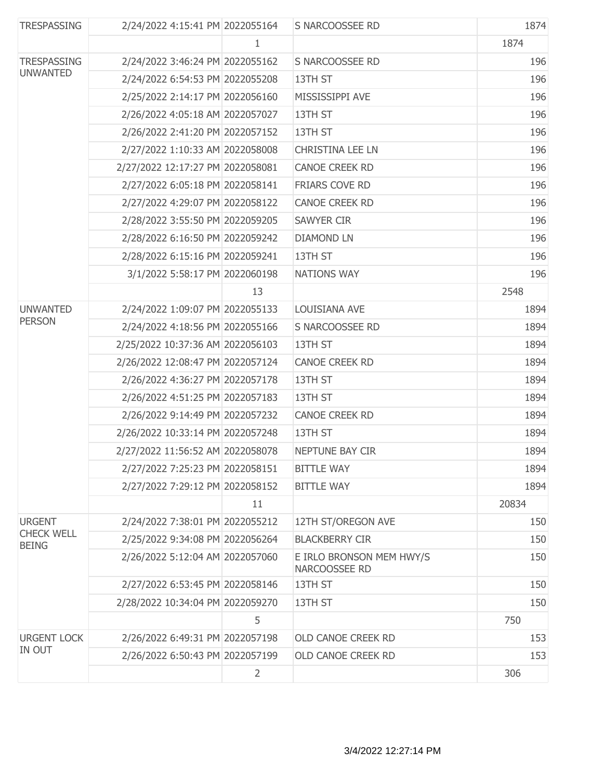| <b>TRESPASSING</b>                    | 2/24/2022 4:15:41 PM 2022055164  |                | S NARCOOSSEE RD                           | 1874  |
|---------------------------------------|----------------------------------|----------------|-------------------------------------------|-------|
|                                       |                                  | 1              |                                           | 1874  |
| <b>TRESPASSING</b><br><b>UNWANTED</b> | 2/24/2022 3:46:24 PM 2022055162  |                | S NARCOOSSEE RD                           | 196   |
|                                       | 2/24/2022 6:54:53 PM 2022055208  |                | 13TH ST                                   | 196   |
|                                       | 2/25/2022 2:14:17 PM 2022056160  |                | MISSISSIPPI AVE                           | 196   |
|                                       | 2/26/2022 4:05:18 AM 2022057027  |                | 13TH ST                                   | 196   |
|                                       | 2/26/2022 2:41:20 PM 2022057152  |                | 13TH ST                                   | 196   |
|                                       | 2/27/2022 1:10:33 AM 2022058008  |                | <b>CHRISTINA LEE LN</b>                   | 196   |
|                                       | 2/27/2022 12:17:27 PM 2022058081 |                | CANOE CREEK RD                            | 196   |
|                                       | 2/27/2022 6:05:18 PM 2022058141  |                | FRIARS COVE RD                            | 196   |
|                                       | 2/27/2022 4:29:07 PM 2022058122  |                | <b>CANOE CREEK RD</b>                     | 196   |
|                                       | 2/28/2022 3:55:50 PM 2022059205  |                | <b>SAWYER CIR</b>                         | 196   |
|                                       | 2/28/2022 6:16:50 PM 2022059242  |                | <b>DIAMOND LN</b>                         | 196   |
|                                       | 2/28/2022 6:15:16 PM 2022059241  |                | 13TH ST                                   | 196   |
|                                       | 3/1/2022 5:58:17 PM 2022060198   |                | NATIONS WAY                               | 196   |
|                                       |                                  | 13             |                                           | 2548  |
| <b>UNWANTED</b>                       | 2/24/2022 1:09:07 PM 2022055133  |                | LOUISIANA AVE                             | 1894  |
| <b>PERSON</b>                         | 2/24/2022 4:18:56 PM 2022055166  |                | S NARCOOSSEE RD                           | 1894  |
|                                       | 2/25/2022 10:37:36 AM 2022056103 |                | 13TH ST                                   | 1894  |
|                                       | 2/26/2022 12:08:47 PM 2022057124 |                | CANOE CREEK RD                            | 1894  |
|                                       | 2/26/2022 4:36:27 PM 2022057178  |                | 13TH ST                                   | 1894  |
|                                       | 2/26/2022 4:51:25 PM 2022057183  |                | 13TH ST                                   | 1894  |
|                                       | 2/26/2022 9:14:49 PM 2022057232  |                | CANOE CREEK RD                            | 1894  |
|                                       | 2/26/2022 10:33:14 PM 2022057248 |                | 13TH ST                                   | 1894  |
|                                       | 2/27/2022 11:56:52 AM 2022058078 |                | NEPTUNE BAY CIR                           | 1894  |
|                                       | 2/27/2022 7:25:23 PM 2022058151  |                | <b>BITTLE WAY</b>                         | 1894  |
|                                       | 2/27/2022 7:29:12 PM 2022058152  |                | <b>BITTLE WAY</b>                         | 1894  |
|                                       |                                  | 11             |                                           | 20834 |
| <b>URGENT</b>                         | 2/24/2022 7:38:01 PM 2022055212  |                | 12TH ST/OREGON AVE                        | 150   |
| <b>CHECK WELL</b><br><b>BEING</b>     | 2/25/2022 9:34:08 PM 2022056264  |                | <b>BLACKBERRY CIR</b>                     | 150   |
|                                       | 2/26/2022 5:12:04 AM 2022057060  |                | E IRLO BRONSON MEM HWY/S<br>NARCOOSSEE RD | 150   |
|                                       | 2/27/2022 6:53:45 PM 2022058146  |                | 13TH ST                                   | 150   |
|                                       | 2/28/2022 10:34:04 PM 2022059270 |                | 13TH ST                                   | 150   |
|                                       |                                  | 5              |                                           | 750   |
| <b>URGENT LOCK</b>                    | 2/26/2022 6:49:31 PM 2022057198  |                | OLD CANOE CREEK RD                        | 153   |
| IN OUT                                | 2/26/2022 6:50:43 PM 2022057199  |                | OLD CANOE CREEK RD                        | 153   |
|                                       |                                  | $\overline{2}$ |                                           | 306   |